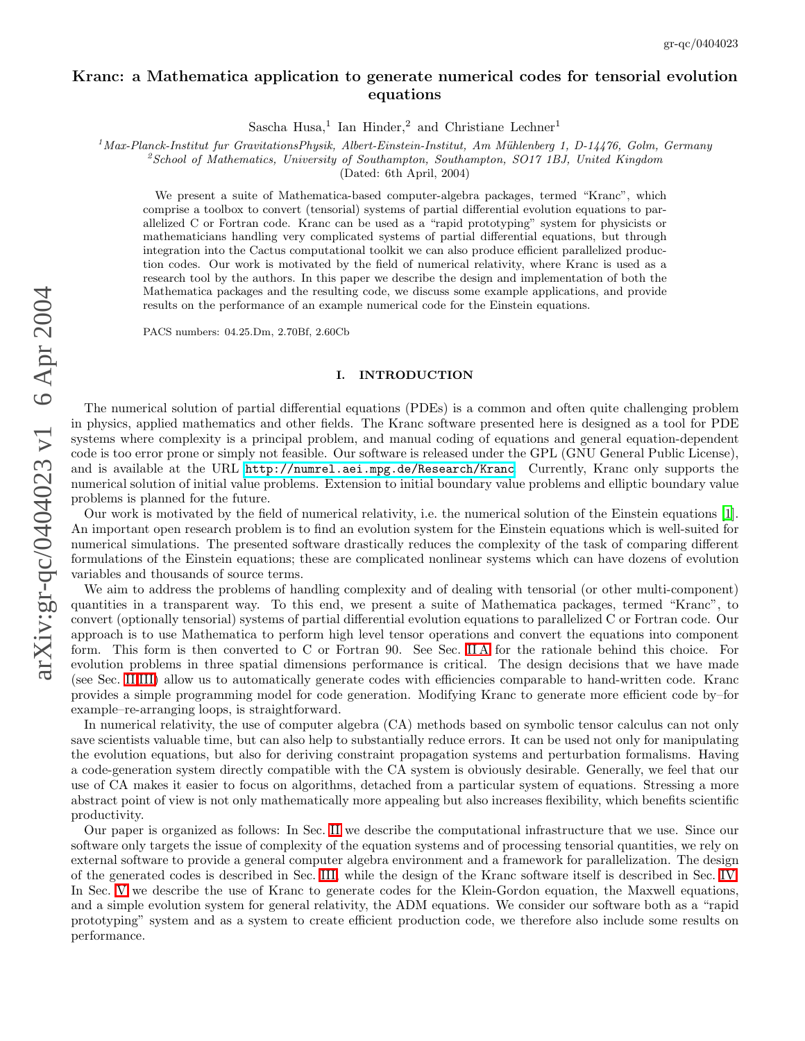## Kranc: a Mathematica application to generate numerical codes for tensorial evolution equations

Sascha Husa,<sup>1</sup> Ian Hinder,<sup>2</sup> and Christiane Lechner<sup>1</sup>

<sup>1</sup>Max-Planck-Institut fur GravitationsPhysik, Albert-Einstein-Institut, Am Mühlenberg 1, D-14476, Golm, Germany <sup>2</sup>School of Mathematics, University of Southampton, Southampton, SO17 1BJ, United Kingdom

(Dated: 6th April, 2004)

We present a suite of Mathematica-based computer-algebra packages, termed "Kranc", which comprise a toolbox to convert (tensorial) systems of partial differential evolution equations to parallelized C or Fortran code. Kranc can be used as a "rapid prototyping" system for physicists or mathematicians handling very complicated systems of partial differential equations, but through integration into the Cactus computational toolkit we can also produce efficient parallelized production codes. Our work is motivated by the field of numerical relativity, where Kranc is used as a research tool by the authors. In this paper we describe the design and implementation of both the Mathematica packages and the resulting code, we discuss some example applications, and provide results on the performance of an example numerical code for the Einstein equations.

PACS numbers: 04.25.Dm, 2.70Bf, 2.60Cb

#### I. INTRODUCTION

The numerical solution of partial differential equations (PDEs) is a common and often quite challenging problem in physics, applied mathematics and other fields. The Kranc software presented here is designed as a tool for PDE systems where complexity is a principal problem, and manual coding of equations and general equation-dependent code is too error prone or simply not feasible. Our software is released under the GPL (GNU General Public License), and is available at the URL <http://numrel.aei.mpg.de/Research/Kranc>. Currently, Kranc only supports the numerical solution of initial value problems. Extension to initial boundary value problems and elliptic boundary valu e problems is planned for the future.

Our work is motivated by the field of numerical relativity, i.e. the numerical solution of the Einstein equations [\[1\]](#page-23-0). An important open research problem is to find an evolution system for the Einstein equations which is well-suited for numerical simulations. The presented software drastically reduces the complexity of the task of comparing different formulations of the Einstein equations; these are complicated nonlinear systems which can have dozens of evolution variables and thousands of source terms.

We aim to address the problems of handling complexity and of dealing with tensorial (or other multi-component) quantities in a transparent way. To this end, we present a suite of Mathematica packages, termed "Kranc", to convert (optionally tensorial) systems of partial differential evolution equations to parallelized C or Fortran code. Our approach is to use Mathematica to perform high level tensor operations and convert the equations into component form. This form is then converted to C or Fortran 90. See Sec. [II A](#page-1-0) for the rationale behind this choice. For evolution problems in three spatial dimensions performance is critical. The design decisions that we have made (see Sec. [II,](#page-1-1)[III\)](#page-3-0) allow us to automatically generate codes with efficiencies comparable to hand-written code. Kranc provides a simple programming model for code generation. Modifying Kranc to generate more efficient code by–for example–re-arranging loops, is straightforward.

In numerical relativity, the use of computer algebra (CA) methods based on symbolic tensor calculus can not only save scientists valuable time, but can also help to substantially reduce errors. It can be used not only for manipulating the evolution equations, but also for deriving constraint propagation systems and perturbation formalisms. Having a code-generation system directly compatible with the CA system is obviously desirable. Generally, we feel that our use of CA makes it easier to focus on algorithms, detached from a particular system of equations. Stressing a more abstract point of view is not only mathematically more appealing but also increases flexibility, which benefits scientifi c productivity.

Our paper is organized as follows: In Sec. [II](#page-1-1) we describe the computational infrastructure that we use. Since our software only targets the issue of complexity of the equation systems and of processing tensorial quantities, we rely on external software to provide a general computer algebra environment and a framework for parallelization. The design of the generated codes is described in Sec. [III,](#page-3-0) while the design of the Kranc software itself is described in Sec. [IV.](#page-7-0) In Sec. [V](#page-12-0) we describe the use of Kranc to generate codes for the Klein-Gordon equation, the Maxwell equations, and a simple evolution system for general relativity, the ADM equations. We consider our software both as a "rapid prototyping" system and as a system to create efficient production code, we therefore also include some results on performance.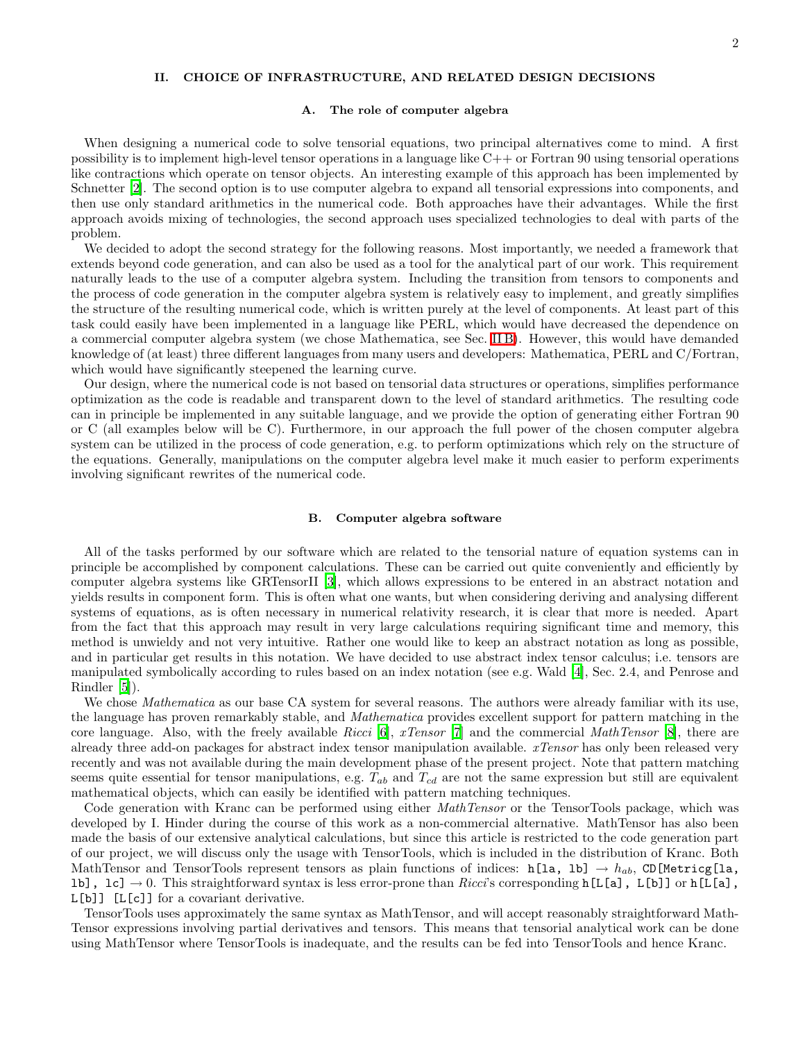### <span id="page-1-0"></span>II. CHOICE OF INFRASTRUCTURE, AND RELATED DESIGN DECISIONS

#### A. The role of computer algebra

<span id="page-1-1"></span>When designing a numerical code to solve tensorial equations, two principal alternatives come to mind. A first possibility is to implement high-level tensor operations in a language like C++ or Fortran 90 using tensorial operations like contractions which operate on tensor objects. An interesting example of this approach has been implemented by Schnetter [\[2](#page-23-1)]. The second option is to use computer algebra to expand all tensorial expressions into components, and then use only standard arithmetics in the numerical code. Both approaches have their advantages. While the first approach avoids mixing of technologies, the second approach uses specialized technologies to deal with parts of the problem.

We decided to adopt the second strategy for the following reasons. Most importantly, we needed a framework that extends beyond code generation, and can also be used as a tool for the analytical part of our work. This requirement naturally leads to the use of a computer algebra system. Including the transition from tensors to components and the process of code generation in the computer algebra system is relatively easy to implement, and greatly simplifies the structure of the resulting numerical code, which is written purely at the level of components. At least part of this task could easily have been implemented in a language like PERL, which would have decreased the dependence on a commercial computer algebra system (we chose Mathematica, see Sec. [II B\)](#page-1-2). However, this would have demanded knowledge of (at least) three different languages from many users and developers: Mathematica, PERL and C/Fortran, which would have significantly steepened the learning curve.

Our design, where the numerical code is not based on tensorial data structures or operations, simplifies performance optimization as the code is readable and transparent down to the level of standard arithmetics. The resulting code can in principle be implemented in any suitable language, and we provide the option of generating either Fortran 90 or C (all examples below will be C). Furthermore, in our approach the full power of the chosen computer algebra system can be utilized in the process of code generation, e.g. to perform optimizations which rely on the structure of the equations. Generally, manipulations on the computer algebra level make it much easier to perform experiments involving significant rewrites of the numerical code.

#### <span id="page-1-2"></span>B. Computer algebra software

All of the tasks performed by our software which are related to the tensorial nature of equation systems can in principle be accomplished by component calculations. These can be carried out quite conveniently and efficiently by computer algebra systems like GRTensorII [\[3](#page-23-2)], which allows expressions to be entered in an abstract notation and yields results in component form. This is often what one wants, but when considering deriving and analysing different systems of equations, as is often necessary in numerical relativity research, it is clear that more is needed. Apart from the fact that this approach may result in very large calculations requiring significant time and memory, this method is unwieldy and not very intuitive. Rather one would like to keep an abstract notation as long as possible, and in particular get results in this notation. We have decided to use abstract index tensor calculus; i.e. tensors are manipulated symbolically according to rules based on an index notation (see e.g. Wald [\[4](#page-23-3)], Sec. 2.4, and Penrose and Rindler [\[5](#page-23-4)]).

We chose *Mathematica* as our base CA system for several reasons. The authors were already familiar with its use, the language has proven remarkably stable, and Mathematica provides excellent support for pattern matching in the core language. Also, with the freely available Ricci [\[6](#page-23-5)], xTensor [\[7](#page-23-6)] and the commercial MathTensor [\[8\]](#page-23-7), there are already three add-on packages for abstract index tensor manipulation available.  $xTensor$  has only been released very recently and was not available during the main development phase of the present project. Note that pattern matching seems quite essential for tensor manipulations, e.g.  $T_{ab}$  and  $T_{cd}$  are not the same expression but still are equivalent mathematical objects, which can easily be identified with pattern matching techniques.

Code generation with Kranc can be performed using either *MathTensor* or the TensorTools package, which was developed by I. Hinder during the course of this work as a non-commercial alternative. MathTensor has also been made the basis of our extensive analytical calculations, but since this article is restricted to the code generation part of our project, we will discuss only the usage with TensorTools, which is included in the distribution of Kranc. Both MathTensor and TensorTools represent tensors as plain functions of indices:  $h[1a, 1b] \rightarrow h_{ab}$ , CD[Metricg[1a, lb], lc]  $\rightarrow 0$ . This straightforward syntax is less error-prone than *Ricci's* corresponding h[L[a], L[b]] or h[L[a], L[b]] [L[c]] for a covariant derivative.

TensorTools uses approximately the same syntax as MathTensor, and will accept reasonably straightforward Math-Tensor expressions involving partial derivatives and tensors. This means that tensorial analytical work can be done using MathTensor where TensorTools is inadequate, and the results can be fed into TensorTools and hence Kranc.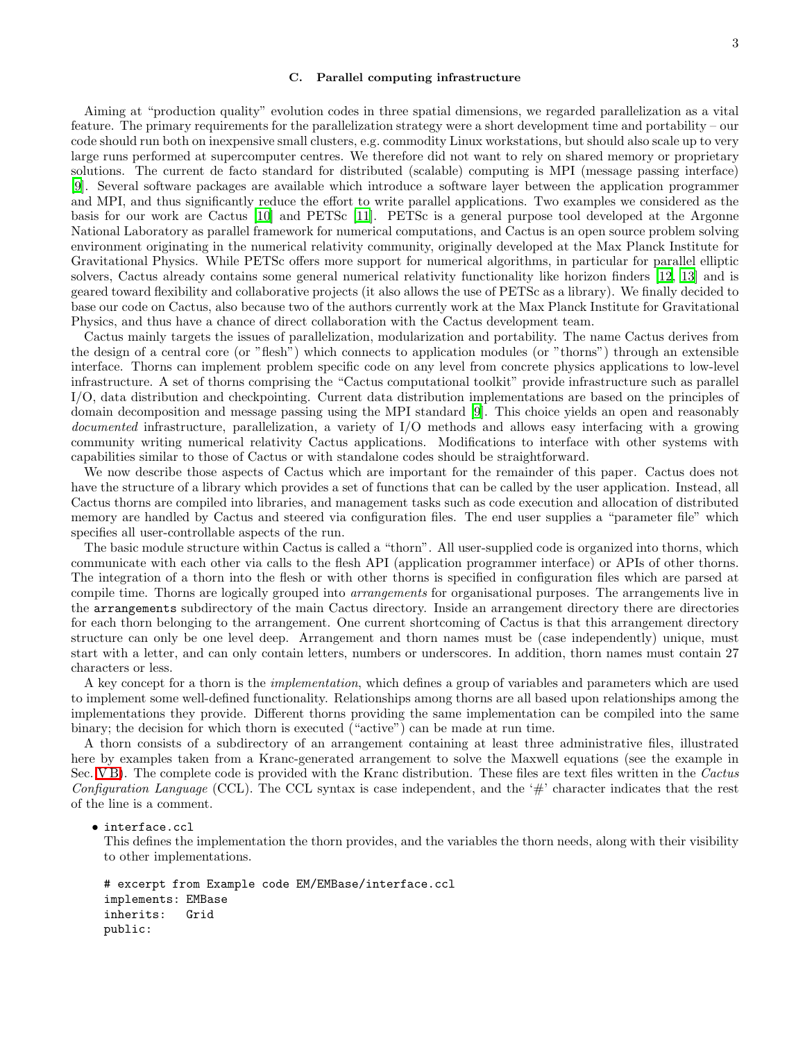#### C. Parallel computing infrastructure

Aiming at "production quality" evolution codes in three spatial dimensions, we regarded parallelization as a vital feature. The primary requirements for the parallelization strategy were a short development time and portability – our code should run both on inexpensive small clusters, e.g. commodity Linux workstations, but should also scale up to very large runs performed at supercomputer centres. We therefore did not want to rely on shared memory or proprietary solutions. The current de facto standard for distributed (scalable) computing is MPI (message passing interface) [\[9\]](#page-23-8). Several software packages are available which introduce a software layer between the application programmer and MPI, and thus significantly reduce the effort to write parallel applications. Two examples we considered as the basis for our work are Cactus [\[10\]](#page-23-9) and PETSc [\[11](#page-23-10)]. PETSc is a general purpose tool developed at the Argonne National Laboratory as parallel framework for numerical computations, and Cactus is an open source problem solving environment originating in the numerical relativity community, originally developed at the Max Planck Institute for Gravitational Physics. While PETSc offers more support for numerical algorithms, in particular for parallel elliptic solvers, Cactus already contains some general numerical relativity functionality like horizon finders [\[12](#page-23-11), [13](#page-23-12)] and is geared toward flexibility and collaborative projects (it also allows the use of PETSc as a library). We finally decided to base our code on Cactus, also because two of the authors currently work at the Max Planck Institute for Gravitational Physics, and thus have a chance of direct collaboration with the Cactus development team.

Cactus mainly targets the issues of parallelization, modularization and portability. The name Cactus derives from the design of a central core (or "flesh") which connects to application modules (or "thorns") through an extensible interface. Thorns can implement problem specific code on any level from concrete physics applications to low-level infrastructure. A set of thorns comprising the "Cactus computational toolkit" provide infrastructure such as parallel I/O, data distribution and checkpointing. Current data distribution implementations are based on the principles of domain decomposition and message passing using the MPI standard [\[9\]](#page-23-8). This choice yields an open and reasonably documented infrastructure, parallelization, a variety of I/O methods and allows easy interfacing with a growing community writing numerical relativity Cactus applications. Modifications to interface with other systems with capabilities similar to those of Cactus or with standalone codes should be straightforward.

We now describe those aspects of Cactus which are important for the remainder of this paper. Cactus does not have the structure of a library which provides a set of functions that can be called by the user application. Instead, all Cactus thorns are compiled into libraries, and management tasks such as code execution and allocation of distributed memory are handled by Cactus and steered via configuration files. The end user supplies a "parameter file" which specifies all user-controllable aspects of the run.

The basic module structure within Cactus is called a "thorn". All user-supplied code is organized into thorns, which communicate with each other via calls to the flesh API (application programmer interface) or APIs of other thorns. The integration of a thorn into the flesh or with other thorns is specified in configuration files which are parsed at compile time. Thorns are logically grouped into *arrangements* for organisational purposes. The arrangements live in the arrangements subdirectory of the main Cactus directory. Inside an arrangement directory there are directories for each thorn belonging to the arrangement. One current shortcoming of Cactus is that this arrangement directory structure can only be one level deep. Arrangement and thorn names must be (case independently) unique, must start with a letter, and can only contain letters, numbers or underscores. In addition, thorn names must contain 27 characters or less.

A key concept for a thorn is the implementation, which defines a group of variables and parameters which are used to implement some well-defined functionality. Relationships among thorns are all based upon relationships among the implementations they provide. Different thorns providing the same implementation can be compiled into the same binary; the decision for which thorn is executed ("active") can be made at run time.

A thorn consists of a subdirectory of an arrangement containing at least three administrative files, illustrated here by examples taken from a Kranc-generated arrangement to solve the Maxwell equations (see the example in Sec. [V B\)](#page-14-0). The complete code is provided with the Kranc distribution. These files are text files written in the Cactus Configuration Language (CCL). The CCL syntax is case independent, and the '#' character indicates that the rest of the line is a comment.

#### • interface.ccl

This defines the implementation the thorn provides, and the variables the thorn needs, along with their visibility to other implementations.

```
# excerpt from Example code EM/EMBase/interface.ccl
implements: EMBase
inherits: Grid
public:
```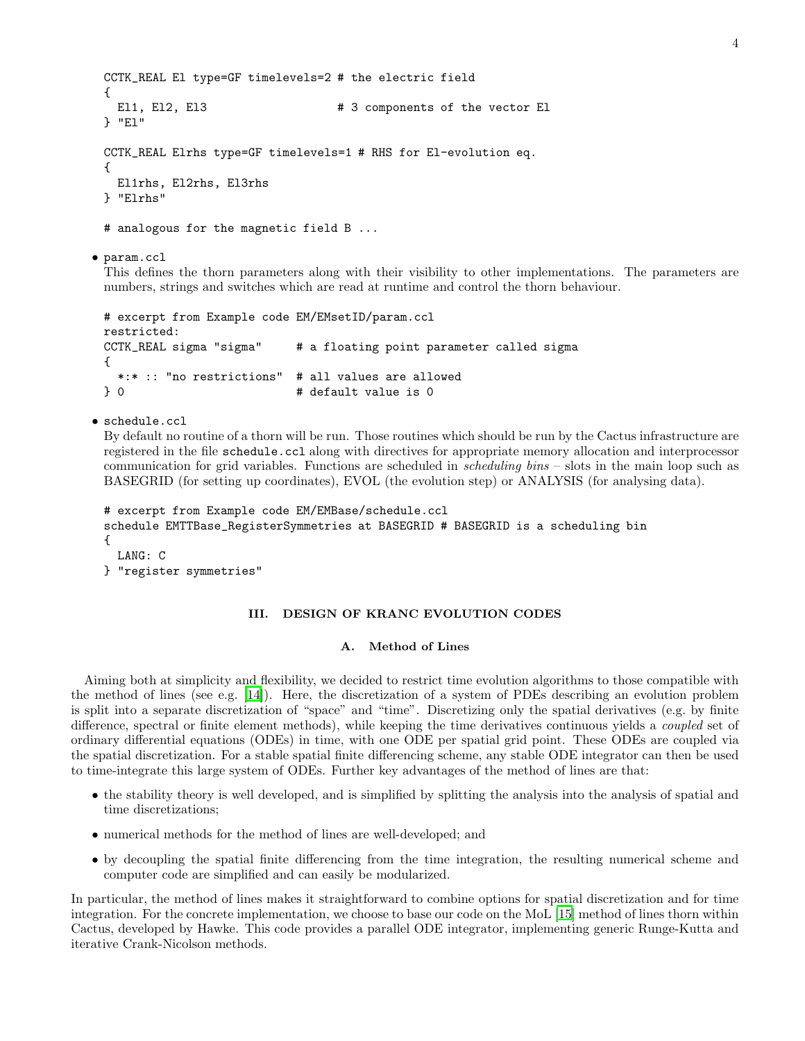```
4
```

```
CCTK_REAL El type=GF timelevels=2 # the electric field
{
 El1, El2, El3 # 3 components of the vector El
} "El"
CCTK_REAL Elrhs type=GF timelevels=1 # RHS for El-evolution eq.
{
 El1rhs, El2rhs, El3rhs
} "Elrhs"
# analogous for the magnetic field B ...
```
• param.ccl

This defines the thorn parameters along with their visibility to other implementations. The parameters are numbers, strings and switches which are read at runtime and control the thorn behaviour.

```
# excerpt from Example code EM/EMsetID/param.ccl
restricted:
CCTK_REAL sigma "sigma" # a floating point parameter called sigma
{
 *:* :: "no restrictions" # all values are allowed
} 0 # default value is 0
```
• schedule.ccl

By default no routine of a thorn will be run. Those routines which should be run by the Cactus infrastructure are registered in the file schedule.ccl along with directives for appropriate memory allocation and interprocessor communication for grid variables. Functions are scheduled in scheduling bins – slots in the main loop such as BASEGRID (for setting up coordinates), EVOL (the evolution step) or ANALYSIS (for analysing data).

```
# excerpt from Example code EM/EMBase/schedule.ccl
schedule EMTTBase_RegisterSymmetries at BASEGRID # BASEGRID is a scheduling bin
{
 LANG: C
} "register symmetries"
```
## <span id="page-3-0"></span>III. DESIGN OF KRANC EVOLUTION CODES

#### A. Method of Lines

Aiming both at simplicity and flexibility, we decided to restrict time evolution algorithms to those compatible with the method of lines (see e.g. [\[14\]](#page-23-13)). Here, the discretization of a system of PDEs describing an evolution problem is split into a separate discretization of "space" and "time". Discretizing only the spatial derivatives (e.g. by finite difference, spectral or finite element methods), while keeping the time derivatives continuous yields a coupled set of ordinary differential equations (ODEs) in time, with one ODE per spatial grid point. These ODEs are coupled via the spatial discretization. For a stable spatial finite differencing scheme, any stable ODE integrator can then be used to time-integrate this large system of ODEs. Further key advantages of the method of lines are that:

- the stability theory is well developed, and is simplified by splitting the analysis into the analysis of spatial and time discretizations;
- numerical methods for the method of lines are well-developed; and
- by decoupling the spatial finite differencing from the time integration, the resulting numerical scheme and computer code are simplified and can easily be modularized.

In particular, the method of lines makes it straightforward to combine options for spatial discretization and for time integration. For the concrete implementation, we choose to base our code on the MoL [\[15\]](#page-23-14) method of lines thorn within Cactus, developed by Hawke. This code provides a parallel ODE integrator, implementing generic Runge-Kutta and iterative Crank-Nicolson methods.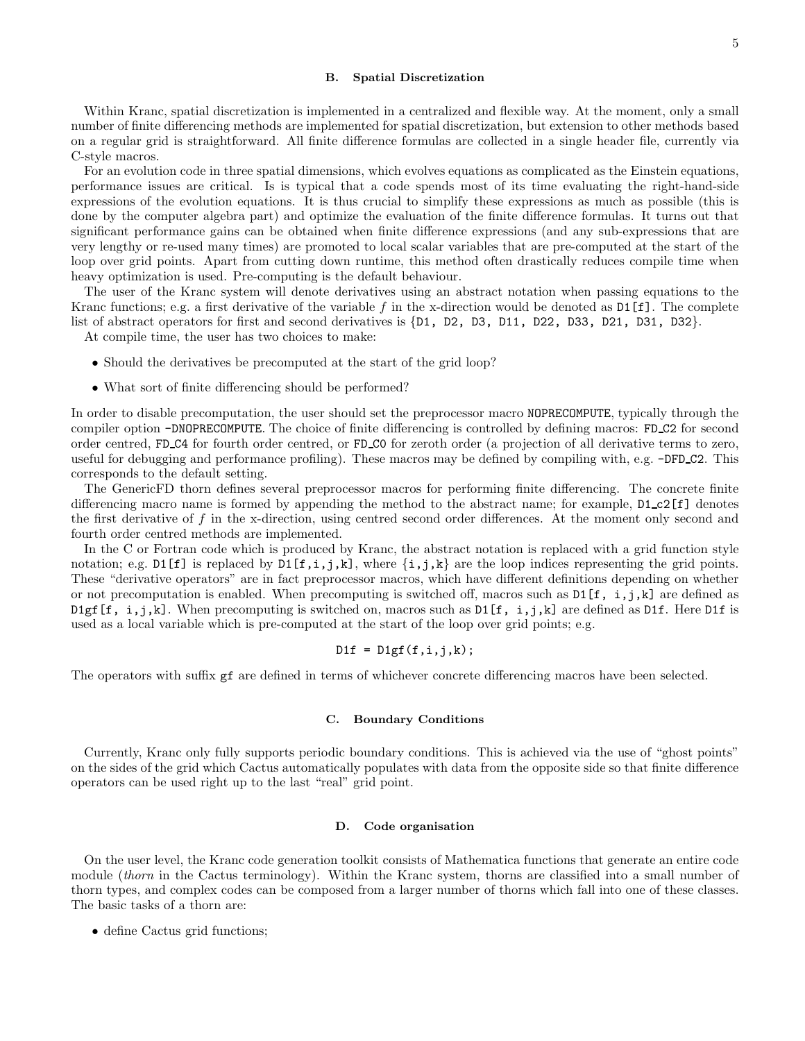#### B. Spatial Discretization

Within Kranc, spatial discretization is implemented in a centralized and flexible way. At the moment, only a small number of finite differencing methods are implemented for spatial discretization, but extension to other methods based on a regular grid is straightforward. All finite difference formulas are collected in a single header file, currently via C-style macros.

For an evolution code in three spatial dimensions, which evolves equations as complicated as the Einstein equations, performance issues are critical. Is is typical that a code spends most of its time evaluating the right-hand-side expressions of the evolution equations. It is thus crucial to simplify these expressions as much as possible (this is done by the computer algebra part) and optimize the evaluation of the finite difference formulas. It turns out that significant performance gains can be obtained when finite difference expressions (and any sub-expressions that are very lengthy or re-used many times) are promoted to local scalar variables that are pre-computed at the start of the loop over grid points. Apart from cutting down runtime, this method often drastically reduces compile time when heavy optimization is used. Pre-computing is the default behaviour.

The user of the Kranc system will denote derivatives using an abstract notation when passing equations to the Kranc functions; e.g. a first derivative of the variable f in the x-direction would be denoted as  $DI[f]$ . The complete list of abstract operators for first and second derivatives is  $\{D1, D2, D3, D11, D22, D33, D21, D31, D32\}$ .

At compile time, the user has two choices to make:

- Should the derivatives be precomputed at the start of the grid loop?
- What sort of finite differencing should be performed?

In order to disable precomputation, the user should set the preprocessor macro NOPRECOMPUTE, typically through the compiler option -DNOPRECOMPUTE. The choice of finite differencing is controlled by defining macros: FD C2 for second order centred, FD C4 for fourth order centred, or FD C0 for zeroth order (a projection of all derivative terms to zero, useful for debugging and performance profiling). These macros may be defined by compiling with, e.g. -DFD C2. This corresponds to the default setting.

The GenericFD thorn defines several preprocessor macros for performing finite differencing. The concrete finite differencing macro name is formed by appending the method to the abstract name; for example,  $D1_c2[f]$  denotes the first derivative of f in the x-direction, using centred second order differences. At the moment only second and fourth order centred methods are implemented.

In the C or Fortran code which is produced by Kranc, the abstract notation is replaced with a grid function style notation; e.g. D1[f] is replaced by D1[f,i,j,k], where  $\{i,j,k\}$  are the loop indices representing the grid points. These "derivative operators" are in fact preprocessor macros, which have different definitions depending on whether or not precomputation is enabled. When precomputing is switched off, macros such as  $DI[f, i,j,k]$  are defined as D1gf  $[f, i, j, k]$ . When precomputing is switched on, macros such as D1 $[f, i, j, k]$  are defined as D1f. Here D1f is used as a local variable which is pre-computed at the start of the loop over grid points; e.g.

## $D1f = D1gf(f, i, j, k);$

The operators with suffix gf are defined in terms of whichever concrete differencing macros have been selected.

#### C. Boundary Conditions

Currently, Kranc only fully supports periodic boundary conditions. This is achieved via the use of "ghost points" on the sides of the grid which Cactus automatically populates with data from the opposite side so that finite difference operators can be used right up to the last "real" grid point.

#### D. Code organisation

On the user level, the Kranc code generation toolkit consists of Mathematica functions that generate an entire code module *(thorn* in the Cactus terminology). Within the Kranc system, thorns are classified into a small number of thorn types, and complex codes can be composed from a larger number of thorns which fall into one of these classes. The basic tasks of a thorn are:

• define Cactus grid functions;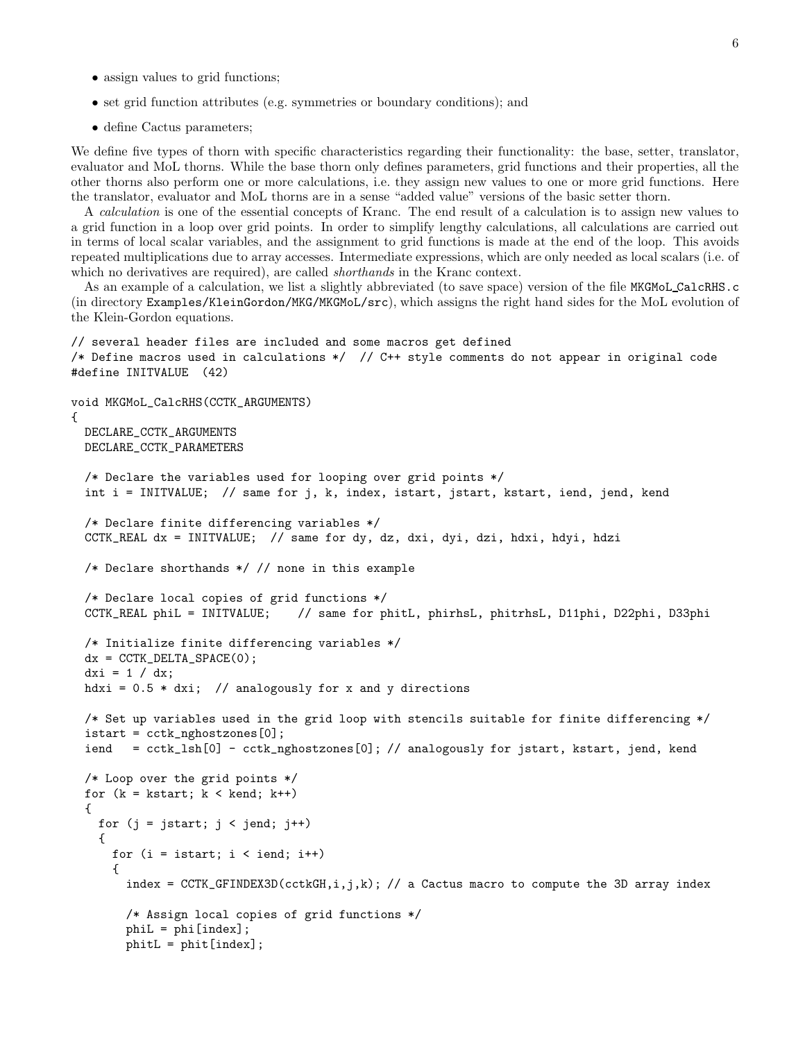- assign values to grid functions;
- set grid function attributes (e.g. symmetries or boundary conditions); and
- define Cactus parameters;

We define five types of thorn with specific characteristics regarding their functionality: the base, setter, translator, evaluator and MoL thorns. While the base thorn only defines parameters, grid functions and their properties, all the other thorns also perform one or more calculations, i.e. they assign new values to one or more grid functions. Here the translator, evaluator and MoL thorns are in a sense "added value" versions of the basic setter thorn.

A calculation is one of the essential concepts of Kranc. The end result of a calculation is to assign new values to a grid function in a loop over grid points. In order to simplify lengthy calculations, all calculations are carried out in terms of local scalar variables, and the assignment to grid functions is made at the end of the loop. This avoids repeated multiplications due to array accesses. Intermediate expressions, which are only needed as local scalars (i.e. of which no derivatives are required), are called *shorthands* in the Kranc context.

As an example of a calculation, we list a slightly abbreviated (to save space) version of the file MKGMoL CalcRHS.c (in directory Examples/KleinGordon/MKG/MKGMoL/src), which assigns the right hand sides for the MoL evolution of the Klein-Gordon equations.

```
// several header files are included and some macros get defined
/* Define macros used in calculations */ // C++ style comments do not appear in original code
#define INITVALUE (42)
void MKGMoL_CalcRHS(CCTK_ARGUMENTS)
{
 DECLARE_CCTK_ARGUMENTS
 DECLARE_CCTK_PARAMETERS
  /* Declare the variables used for looping over grid points */
  int i = INITVALUE; // same for j, k, index, istart, jstart, kstart, iend, jend, kend
  /* Declare finite differencing variables */
 CCTK_REAL dx = INITVALUE; // same for dy, dz, dxi, dyi, dzi, hdxi, hdyi, hdzi
  /* Declare shorthands */ // none in this example
  /* Declare local copies of grid functions */
 CCTK_REAL phiL = INITVALUE; // same for phitL, phirhsL, phitrhsL, D11phi, D22phi, D33phi
  /* Initialize finite differencing variables */
 dx = CCTK_DELTA_SPACE(0);dxi = 1 / dx;hdxi = 0.5 * dxi; // analogously for x and y directions
  /* Set up variables used in the grid loop with stencils suitable for finite differencing */
  istart = cctk_nghostzones[0];
  iend = cctk_lsh[0] - cctk_nghostzones[0]; // analogously for jstart, kstart, jend, kend
  /* Loop over the grid points */
 for (k = kstart; k < kend; k++){
   for (j = jstart; j < jend; j++){
      for (i = istart; i < iend; i++){
        index = CCTK_GFTNDEX3D(cctkGH,i,i,k); // a Cactus macro to compute the 3D array index
        /* Assign local copies of grid functions */
        phiL = phi[index];
       phi = phi[index];
```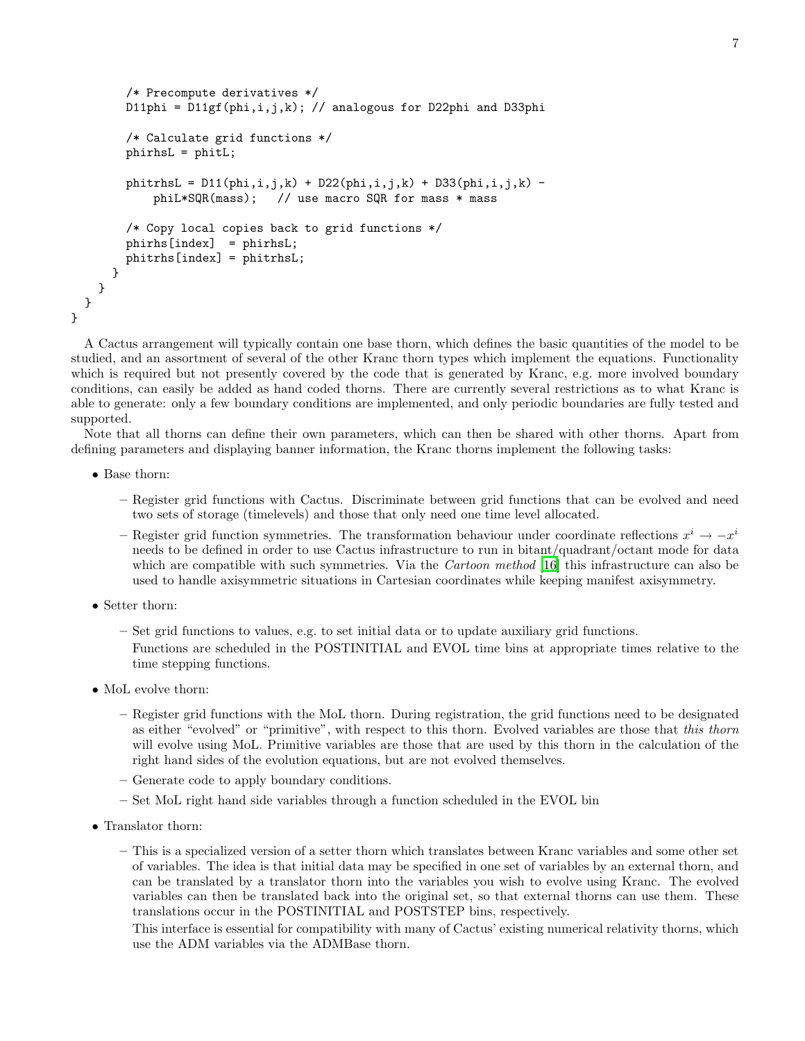```
/* Precompute derivatives */
      D11phi = D11gf(\phi h i, i, j, k); // analogous for D22phi and D33phi
      /* Calculate grid functions */
      phirhsL = phitL;
      phitrhsL = D11(phi, i, j, k) + D22(phi, i, j, k) + D33(phi, i, j, k) -phiL*SQR(mass); // use macro SQR for mass * mass
      /* Copy local copies back to grid functions */
      phirhs[index] = phirhsL;
      phitrhs[index] = phitrhsL;
    }
  }
}
```
A Cactus arrangement will typically contain one base thorn, which defines the basic quantities of the model to be studied, and an assortment of several of the other Kranc thorn types which implement the equations. Functionality which is required but not presently covered by the code that is generated by Kranc, e.g. more involved boundary conditions, can easily be added as hand coded thorns. There are currently several restrictions as to what Kranc is able to generate: only a few boundary conditions are implemented, and only periodic boundaries are fully tested and supported.

Note that all thorns can define their own parameters, which can then be shared with other thorns. Apart from defining parameters and displaying banner information, the Kranc thorns implement the following tasks:

• Base thorn:

}

- Register grid functions with Cactus. Discriminate between grid functions that can be evolved and need two sets of storage (timelevels) and those that only need one time level allocated.
- Register grid function symmetries. The transformation behaviour under coordinate reflections  $x^i \rightarrow -x^i$ needs to be defined in order to use Cactus infrastructure to run in bitant/quadrant/octant mode for data which are compatible with such symmetries. Via the *Cartoon method* [\[16\]](#page-23-15) this infrastructure can also be used to handle axisymmetric situations in Cartesian coordinates while keeping manifest axisymmetry.
- Setter thorn:
	- Set grid functions to values, e.g. to set initial data or to update auxiliary grid functions. Functions are scheduled in the POSTINITIAL and EVOL time bins at appropriate times relative to the time stepping functions.
- MoL evolve thorn:
	- Register grid functions with the MoL thorn. During registration, the grid functions need to be designated as either "evolved" or "primitive", with respect to this thorn. Evolved variables are those that this thorn will evolve using MoL. Primitive variables are those that are used by this thorn in the calculation of the right hand sides of the evolution equations, but are not evolved themselves.
	- Generate code to apply boundary conditions.
	- Set MoL right hand side variables through a function scheduled in the EVOL bin
- Translator thorn:
	- This is a specialized version of a setter thorn which translates between Kranc variables and some other set of variables. The idea is that initial data may be specified in one set of variables by an external thorn, and can be translated by a translator thorn into the variables you wish to evolve using Kranc. The evolved variables can then be translated back into the original set, so that external thorns can use them. These translations occur in the POSTINITIAL and POSTSTEP bins, respectively.

This interface is essential for compatibility with many of Cactus' existing numerical relativity thorns, which use the ADM variables via the ADMBase thorn.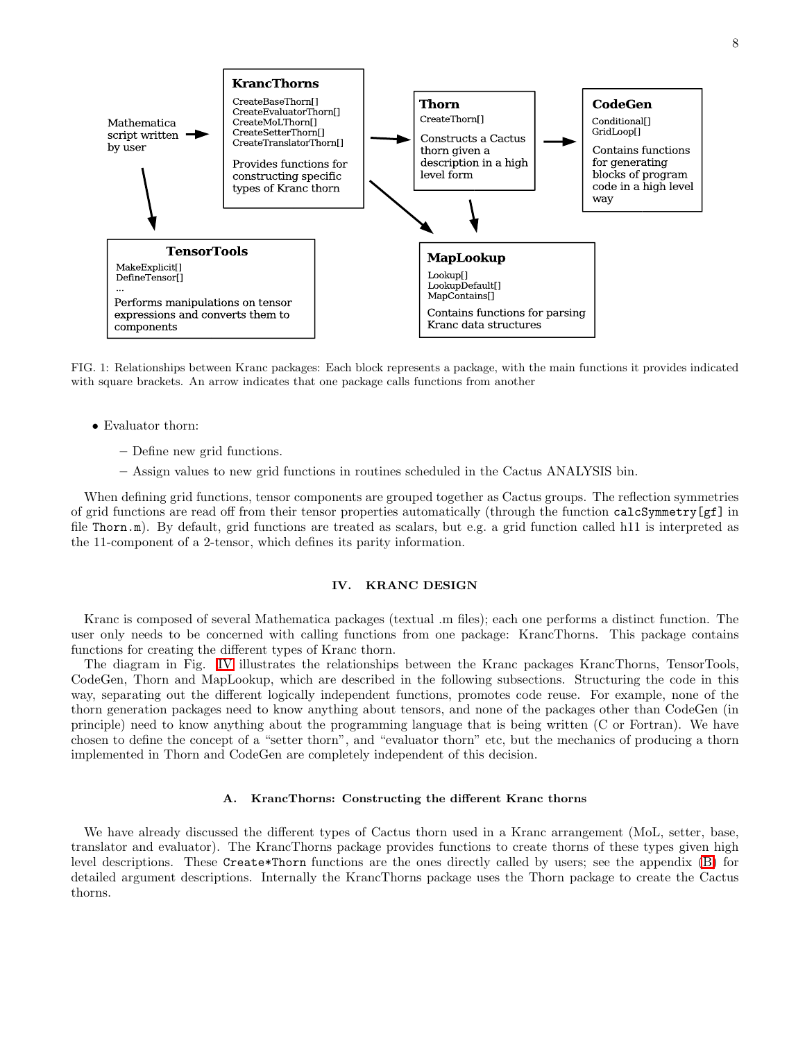

FIG. 1: Relationships between Kranc packages: Each block represents a package, with the main functions it provides indicated with square brackets. An arrow indicates that one package calls functions from another

- Evaluator thorn:
	- Define new grid functions.
	- Assign values to new grid functions in routines scheduled in the Cactus ANALYSIS bin.

When defining grid functions, tensor components are grouped together as Cactus groups. The reflection symmetries of grid functions are read off from their tensor properties automatically (through the function calcSymmetry[gf] in file Thorn.m). By default, grid functions are treated as scalars, but e.g. a grid function called h11 is interpreted as the 11-component of a 2-tensor, which defines its parity information.

### <span id="page-7-0"></span>IV. KRANC DESIGN

Kranc is composed of several Mathematica packages (textual .m files); each one performs a distinct function. The user only needs to be concerned with calling functions from one package: KrancThorns. This package contains functions for creating the different types of Kranc thorn.

The diagram in Fig. [IV](#page-7-0) illustrates the relationships between the Kranc packages KrancThorns, TensorTools, CodeGen, Thorn and MapLookup, which are described in the following subsections. Structuring the code in this way, separating out the different logically independent functions, promotes code reuse. For example, none of the thorn generation packages need to know anything about tensors, and none of the packages other than CodeGen (in principle) need to know anything about the programming language that is being written (C or Fortran). We have chosen to define the concept of a "setter thorn", and "evaluator thorn" etc, but the mechanics of producing a thorn implemented in Thorn and CodeGen are completely independent of this decision.

### A. KrancThorns: Constructing the different Kranc thorns

We have already discussed the different types of Cactus thorn used in a Kranc arrangement (MoL, setter, base, translator and evaluator). The KrancThorns package provides functions to create thorns of these types given high level descriptions. These Create\*Thorn functions are the ones directly called by users; see the appendix [\(B\)](#page-20-0) for detailed argument descriptions. Internally the KrancThorns package uses the Thorn package to create the Cactus thorns.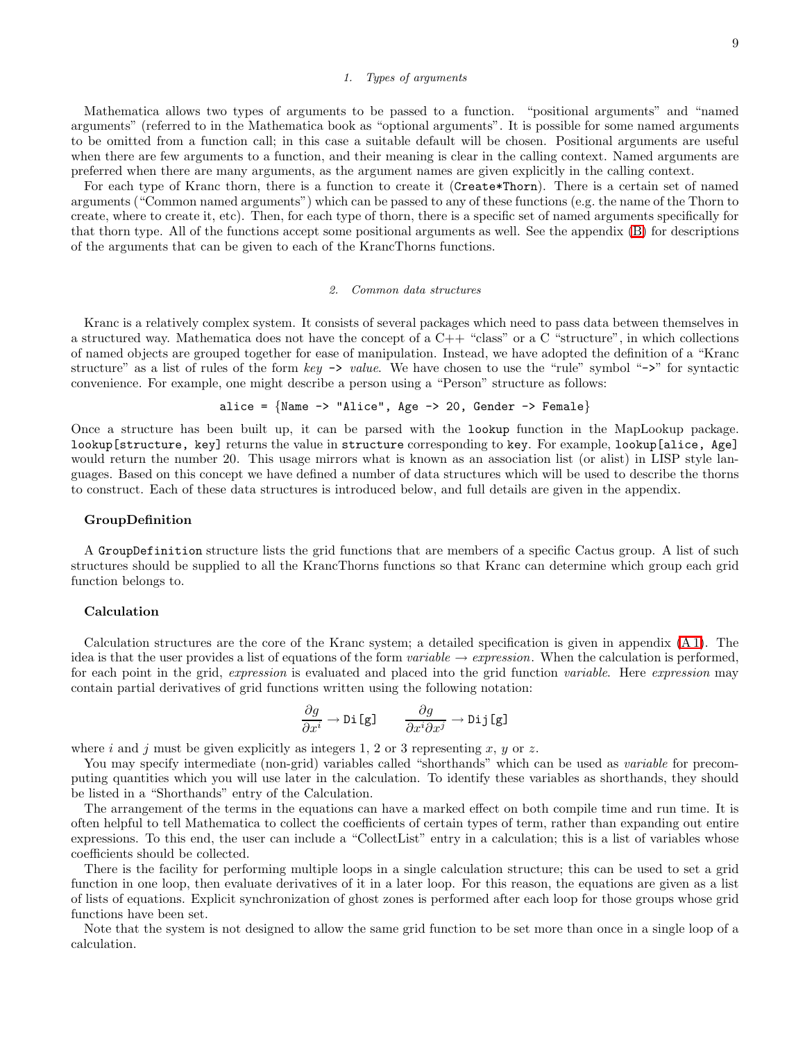#### 1. Types of arguments

Mathematica allows two types of arguments to be passed to a function. "positional arguments" and "named arguments" (referred to in the Mathematica book as "optional arguments". It is possible for some named arguments to be omitted from a function call; in this case a suitable default will be chosen. Positional arguments are useful when there are few arguments to a function, and their meaning is clear in the calling context. Named arguments are preferred when there are many arguments, as the argument names are given explicitly in the calling context.

For each type of Kranc thorn, there is a function to create it (Create\*Thorn). There is a certain set of named arguments ("Common named arguments") which can be passed to any of these functions (e.g. the name of the Thorn to create, where to create it, etc). Then, for each type of thorn, there is a specific set of named arguments specifically for that thorn type. All of the functions accept some positional arguments as well. See the appendix [\(B\)](#page-20-0) for descriptions of the arguments that can be given to each of the KrancThorns functions.

#### 2. Common data structures

Kranc is a relatively complex system. It consists of several packages which need to pass data between themselves in a structured way. Mathematica does not have the concept of a  $C++$  "class" or a C "structure", in which collections of named objects are grouped together for ease of manipulation. Instead, we have adopted the definition of a "Kranc structure" as a list of rules of the form  $key \rightarrow value$ . We have chosen to use the "rule" symbol "->" for syntactic convenience. For example, one might describe a person using a "Person" structure as follows:

$$
alice = \{Name \rightarrow "Alice", Age \rightarrow 20, Gender \rightarrow Female\}
$$

Once a structure has been built up, it can be parsed with the lookup function in the MapLookup package. lookup[structure, key] returns the value in structure corresponding to key. For example, lookup[alice, Age] would return the number 20. This usage mirrors what is known as an association list (or alist) in LISP style languages. Based on this concept we have defined a number of data structures which will be used to describe the thorns to construct. Each of these data structures is introduced below, and full details are given in the appendix.

#### GroupDefinition

A GroupDefinition structure lists the grid functions that are members of a specific Cactus group. A list of such structures should be supplied to all the KrancThorns functions so that Kranc can determine which group each grid function belongs to.

#### Calculation

Calculation structures are the core of the Kranc system; a detailed specification is given in appendix [\(A 1\)](#page-20-1). The idea is that the user provides a list of equations of the form *variable*  $\rightarrow$  *expression*. When the calculation is performed, for each point in the grid, expression is evaluated and placed into the grid function variable. Here expression may contain partial derivatives of grid functions written using the following notation:

$$
\frac{\partial g}{\partial x^i} \rightarrow \text{Di}\left[\text{g}\right] \qquad \frac{\partial g}{\partial x^i \partial x^j} \rightarrow \text{Dij}\left[\text{g}\right]
$$

where i and j must be given explicitly as integers 1, 2 or 3 representing x, y or z.

You may specify intermediate (non-grid) variables called "shorthands" which can be used as *variable* for precomputing quantities which you will use later in the calculation. To identify these variables as shorthands, they should be listed in a "Shorthands" entry of the Calculation.

The arrangement of the terms in the equations can have a marked effect on both compile time and run time. It is often helpful to tell Mathematica to collect the coefficients of certain types of term, rather than expanding out entire expressions. To this end, the user can include a "CollectList" entry in a calculation; this is a list of variables whose coefficients should be collected.

There is the facility for performing multiple loops in a single calculation structure; this can be used to set a grid function in one loop, then evaluate derivatives of it in a later loop. For this reason, the equations are given as a list of lists of equations. Explicit synchronization of ghost zones is performed after each loop for those groups whose grid functions have been set.

Note that the system is not designed to allow the same grid function to be set more than once in a single loop of a calculation.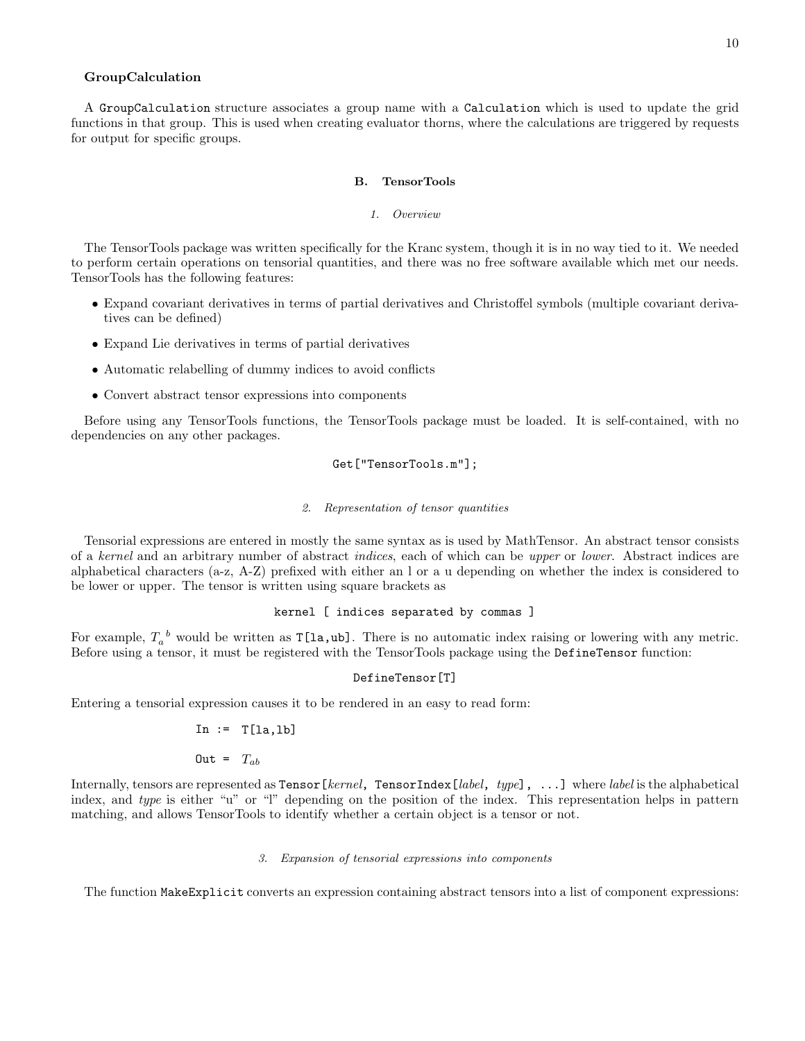### GroupCalculation

A GroupCalculation structure associates a group name with a Calculation which is used to update the grid functions in that group. This is used when creating evaluator thorns, where the calculations are triggered by requests for output for specific groups.

#### B. TensorTools

#### 1. Overview

The TensorTools package was written specifically for the Kranc system, though it is in no way tied to it. We needed to perform certain operations on tensorial quantities, and there was no free software available which met our needs. TensorTools has the following features:

- Expand covariant derivatives in terms of partial derivatives and Christoffel symbols (multiple covariant derivatives can be defined)
- Expand Lie derivatives in terms of partial derivatives
- Automatic relabelling of dummy indices to avoid conflicts
- Convert abstract tensor expressions into components

Before using any TensorTools functions, the TensorTools package must be loaded. It is self-contained, with no dependencies on any other packages.

## Get["TensorTools.m"];

### 2. Representation of tensor quantities

Tensorial expressions are entered in mostly the same syntax as is used by MathTensor. An abstract tensor consists of a kernel and an arbitrary number of abstract indices, each of which can be upper or lower. Abstract indices are alphabetical characters (a-z, A-Z) prefixed with either an l or a u depending on whether the index is considered to be lower or upper. The tensor is written using square brackets as

## kernel [ indices separated by commas ]

For example,  $T_a^b$  would be written as  $T[\text{la}, \text{ub}]$ . There is no automatic index raising or lowering with any metric. Before using a tensor, it must be registered with the TensorTools package using the DefineTensor function:

### DefineTensor[T]

Entering a tensorial expression causes it to be rendered in an easy to read form:

$$
\text{In} := T[\text{la}, \text{lb}]
$$

Out =  $T_{ab}$ 

Internally, tensors are represented as Tensor [kernel, TensorIndex [label, type], ...] where label is the alphabetical index, and type is either "u" or "l" depending on the position of the index. This representation helps in pattern matching, and allows TensorTools to identify whether a certain object is a tensor or not.

### 3. Expansion of tensorial expressions into components

The function MakeExplicit converts an expression containing abstract tensors into a list of component expressions: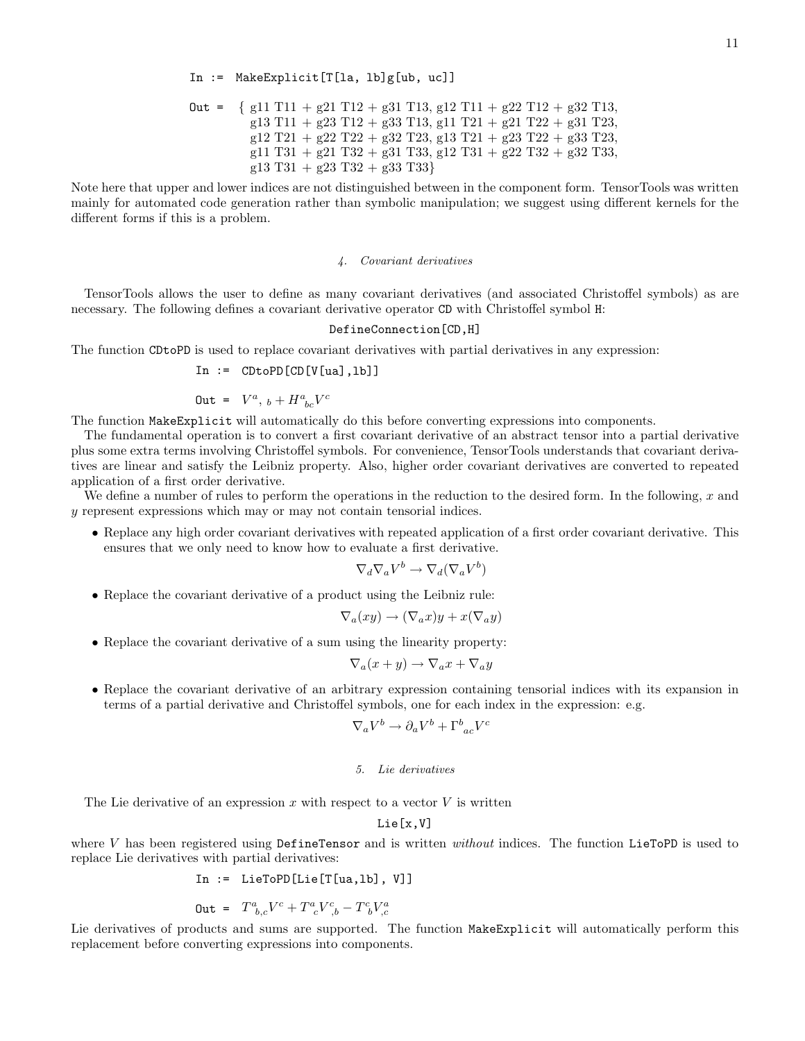In := MakeExplicit[T[la, lb]g[ub, uc]]

$$
\begin{array}{rl} \mathtt{Out} & = & \{ \ \mathtt{g11\ T11} + \mathtt{g21\ T12} + \mathtt{g31\ T13}, \mathtt{g12\ T11} + \mathtt{g22\ T12} + \mathtt{g32\ T13}, \\ & \mathtt{g13\ T11} + \mathtt{g23\ T12} + \mathtt{g33\ T13}, \mathtt{g11\ T21} + \mathtt{g21\ T22} + \mathtt{g31\ T23}, \\ & \mathtt{g12\ T21} + \mathtt{g22\ T22} + \mathtt{g32\ T23}, \mathtt{g13\ T21} + \mathtt{g23\ T22} + \mathtt{g33\ T23}, \\ & \mathtt{g11\ T31} + \mathtt{g21\ T32} + \mathtt{g31\ T33}, \mathtt{g12\ T31} + \mathtt{g22\ T32} + \mathtt{g32\ T33}, \\ & \mathtt{g13\ T31} + \mathtt{g23\ T32} + \mathtt{g33\ T33} \} \end{array}
$$

Note here that upper and lower indices are not distinguished between in the component form. TensorTools was written mainly for automated code generation rather than symbolic manipulation; we suggest using different kernels for the different forms if this is a problem.

### 4. Covariant derivatives

TensorTools allows the user to define as many covariant derivatives (and associated Christoffel symbols) as are necessary. The following defines a covariant derivative operator CD with Christoffel symbol H:

## DefineConnection[CD,H]

The function CDtoPD is used to replace covariant derivatives with partial derivatives in any expression:

$$
In := CDtoPD[CD[V[ua],1b]]
$$

$$
\mathtt{Out}~=~V^a,~_{b}+H^a_{~bc}V^c
$$

The function MakeExplicit will automatically do this before converting expressions into components.

The fundamental operation is to convert a first covariant derivative of an abstract tensor into a partial derivative plus some extra terms involving Christoffel symbols. For convenience, TensorTools understands that covariant derivatives are linear and satisfy the Leibniz property. Also, higher order covariant derivatives are converted to repeated application of a first order derivative.

We define a number of rules to perform the operations in the reduction to the desired form. In the following, x and y represent expressions which may or may not contain tensorial indices.

• Replace any high order covariant derivatives with repeated application of a first order covariant derivative. This ensures that we only need to know how to evaluate a first derivative.

$$
\nabla_d \nabla_a V^b \to \nabla_d (\nabla_a V^b)
$$

• Replace the covariant derivative of a product using the Leibniz rule:

$$
\nabla_a(xy) \to (\nabla_a x)y + x(\nabla_a y)
$$

• Replace the covariant derivative of a sum using the linearity property:

$$
\nabla_a(x+y) \to \nabla_a x + \nabla_a y
$$

• Replace the covariant derivative of an arbitrary expression containing tensorial indices with its expansion in terms of a partial derivative and Christoffel symbols, one for each index in the expression: e.g.

$$
\nabla_a V^b \to \partial_a V^b + \Gamma^b_{\ \, ac} V^c
$$

#### 5. Lie derivatives

The Lie derivative of an expression  $x$  with respect to a vector  $V$  is written

$$
Lie[x,V]
$$

where V has been registered using DefineTensor and is written without indices. The function LieToPD is used to replace Lie derivatives with partial derivatives:

In := LieToPD[Lie[T[ua,lb], V]]

$$
\mathtt{Out} \ = \ T^{a}_{\ b,c} V^{c} + T^{a}_{\ c} V^{c}_{\ ,b} - T^{c}_{\ b} V^{a}_{\ ,c}
$$

Lie derivatives of products and sums are supported. The function MakeExplicit will automatically perform this replacement before converting expressions into components.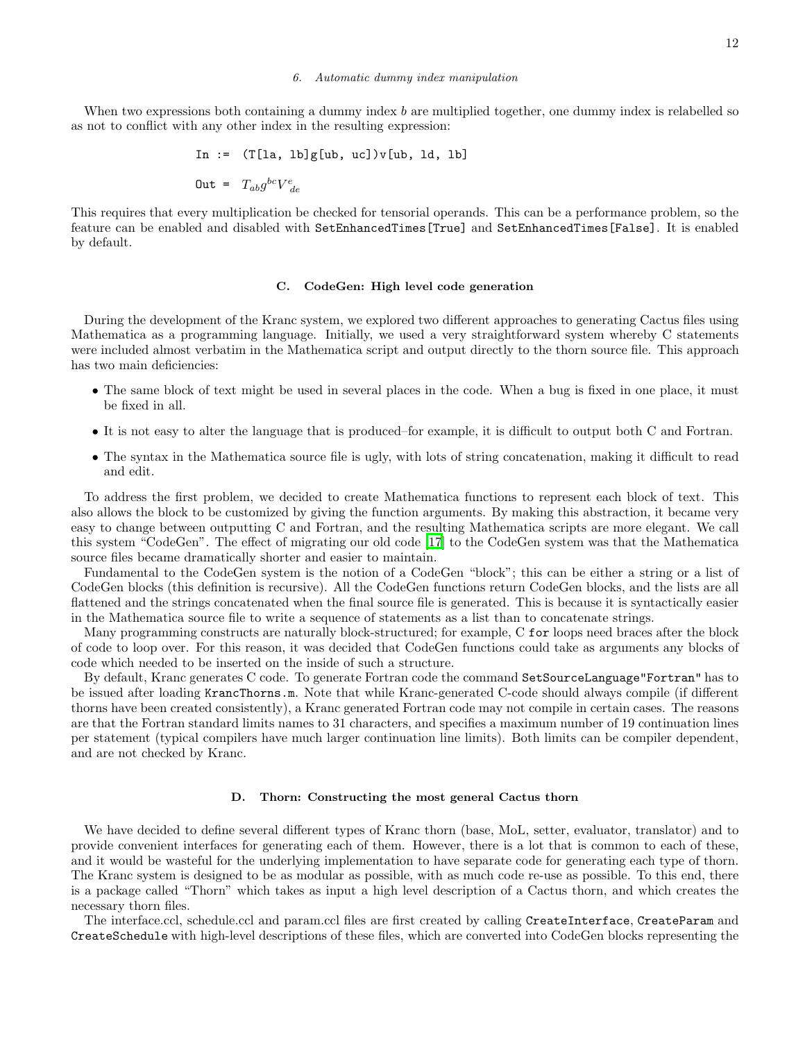#### 6. Automatic dummy index manipulation

When two expressions both containing a dummy index  $b$  are multiplied together, one dummy index is relabelled so as not to conflict with any other index in the resulting expression:

In := (T[la, lb]g[ub, uc])v[ub, ld, lb]  
Out = 
$$
T_{ab}g^{bc}V_{de}^e
$$

This requires that every multiplication be checked for tensorial operands. This can be a performance problem, so the feature can be enabled and disabled with SetEnhancedTimes[True] and SetEnhancedTimes[False]. It is enabled by default.

#### C. CodeGen: High level code generation

During the development of the Kranc system, we explored two different approaches to generating Cactus files using Mathematica as a programming language. Initially, we used a very straightforward system whereby C statements were included almost verbatim in the Mathematica script and output directly to the thorn source file. This approach has two main deficiencies:

- The same block of text might be used in several places in the code. When a bug is fixed in one place, it must be fixed in all.
- It is not easy to alter the language that is produced–for example, it is difficult to output both C and Fortran.
- The syntax in the Mathematica source file is ugly, with lots of string concatenation, making it difficult to read and edit.

To address the first problem, we decided to create Mathematica functions to represent each block of text. This also allows the block to be customized by giving the function arguments. By making this abstraction, it became very easy to change between outputting C and Fortran, and the resulting Mathematica scripts are more elegant. We call this system "CodeGen". The effect of migrating our old code [\[17](#page-23-16)] to the CodeGen system was that the Mathematica source files became dramatically shorter and easier to maintain.

Fundamental to the CodeGen system is the notion of a CodeGen "block"; this can be either a string or a list of CodeGen blocks (this definition is recursive). All the CodeGen functions return CodeGen blocks, and the lists are all flattened and the strings concatenated when the final source file is generated. This is because it is syntactically easier in the Mathematica source file to write a sequence of statements as a list than to concatenate strings.

Many programming constructs are naturally block-structured; for example, C for loops need braces after the block of code to loop over. For this reason, it was decided that CodeGen functions could take as arguments any blocks of code which needed to be inserted on the inside of such a structure.

By default, Kranc generates C code. To generate Fortran code the command SetSourceLanguage"Fortran" has to be issued after loading KrancThorns.m. Note that while Kranc-generated C-code should always compile (if different thorns have been created consistently), a Kranc generated Fortran code may not compile in certain cases. The reasons are that the Fortran standard limits names to 31 characters, and specifies a maximum number of 19 continuation lines per statement (typical compilers have much larger continuation line limits). Both limits can be compiler dependent, and are not checked by Kranc.

#### D. Thorn: Constructing the most general Cactus thorn

We have decided to define several different types of Kranc thorn (base, MoL, setter, evaluator, translator) and to provide convenient interfaces for generating each of them. However, there is a lot that is common to each of these, and it would be wasteful for the underlying implementation to have separate code for generating each type of thorn. The Kranc system is designed to be as modular as possible, with as much code re-use as possible. To this end, there is a package called "Thorn" which takes as input a high level description of a Cactus thorn, and which creates the necessary thorn files.

The interface.ccl, schedule.ccl and param.ccl files are first created by calling CreateInterface, CreateParam and CreateSchedule with high-level descriptions of these files, which are converted into CodeGen blocks representing the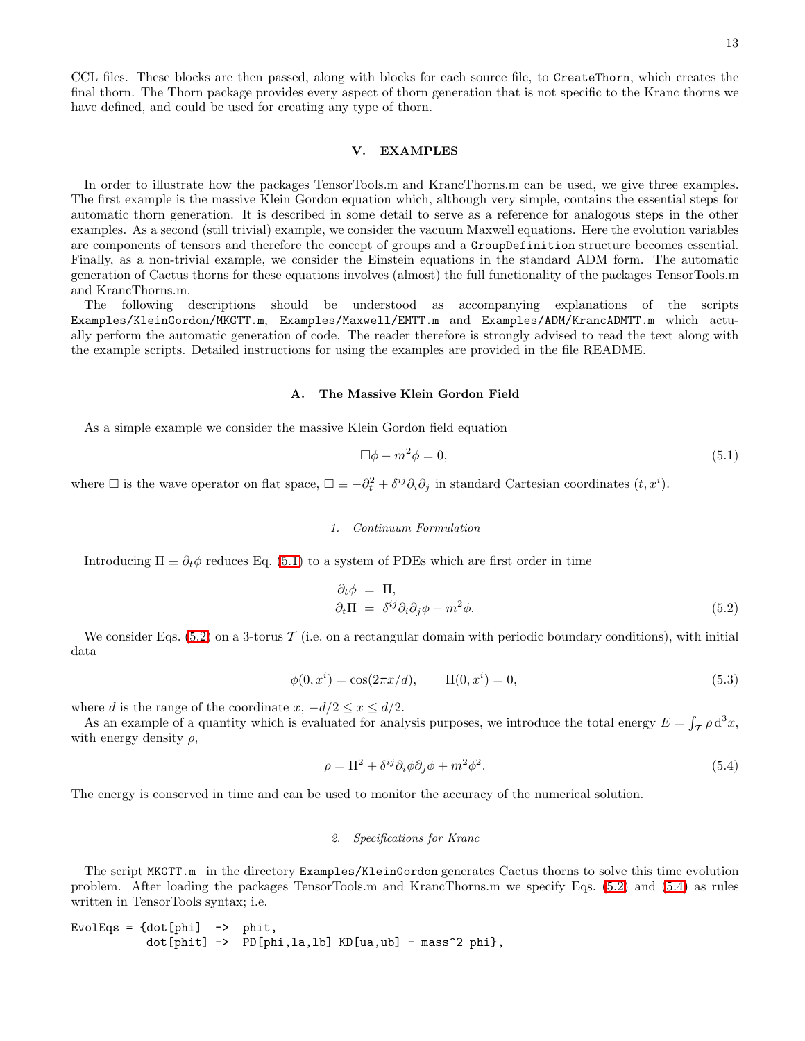CCL files. These blocks are then passed, along with blocks for each source file, to CreateThorn, which creates the final thorn. The Thorn package provides every aspect of thorn generation that is not specific to the Kranc thorns we have defined, and could be used for creating any type of thorn.

### <span id="page-12-0"></span>V. EXAMPLES

In order to illustrate how the packages TensorTools.m and KrancThorns.m can be used, we give three examples. The first example is the massive Klein Gordon equation which, although very simple, contains the essential steps for automatic thorn generation. It is described in some detail to serve as a reference for analogous steps in the other examples. As a second (still trivial) example, we consider the vacuum Maxwell equations. Here the evolution variables are components of tensors and therefore the concept of groups and a GroupDefinition structure becomes essential. Finally, as a non-trivial example, we consider the Einstein equations in the standard ADM form. The automatic generation of Cactus thorns for these equations involves (almost) the full functionality of the packages TensorTools.m and KrancThorns.m.

The following descriptions should be understood as accompanying explanations of the scripts Examples/KleinGordon/MKGTT.m, Examples/Maxwell/EMTT.m and Examples/ADM/KrancADMTT.m which actually perform the automatic generation of code. The reader therefore is strongly advised to read the text along with the example scripts. Detailed instructions for using the examples are provided in the file README.

#### <span id="page-12-1"></span>A. The Massive Klein Gordon Field

As a simple example we consider the massive Klein Gordon field equation

$$
\Box \phi - m^2 \phi = 0,\tag{5.1}
$$

where  $\Box$  is the wave operator on flat space,  $\Box \equiv -\partial_t^2 + \delta^{ij}\partial_i\partial_j$  in standard Cartesian coordinates  $(t, x^i)$ .

### 1. Continuum Formulation

Introducing  $\Pi \equiv \partial_t \phi$  reduces Eq. [\(5.1\)](#page-12-1) to a system of PDEs which are first order in time

<span id="page-12-2"></span>
$$
\partial_t \phi = \Pi,
$$
  
\n
$$
\partial_t \Pi = \delta^{ij} \partial_i \partial_j \phi - m^2 \phi.
$$
\n(5.2)

We consider Eqs. [\(5.2\)](#page-12-2) on a 3-torus  $\mathcal T$  (i.e. on a rectangular domain with periodic boundary conditions), with initial data

<span id="page-12-4"></span><span id="page-12-3"></span>
$$
\phi(0, x^i) = \cos(2\pi x/d), \qquad \Pi(0, x^i) = 0,
$$
\n(5.3)

where d is the range of the coordinate  $x, -d/2 \le x \le d/2$ .

As an example of a quantity which is evaluated for analysis purposes, we introduce the total energy  $E = \int_{\mathcal{I}} \rho \, d^3x$ , with energy density  $\rho$ ,

$$
\rho = \Pi^2 + \delta^{ij} \partial_i \phi \partial_j \phi + m^2 \phi^2. \tag{5.4}
$$

The energy is conserved in time and can be used to monitor the accuracy of the numerical solution.

### 2. Specifications for Kranc

The script MKGTT.m in the directory Examples/KleinGordon generates Cactus thorns to solve this time evolution problem. After loading the packages TensorTools.m and KrancThorns.m we specify Eqs. [\(5.2\)](#page-12-2) and [\(5.4\)](#page-12-3) as rules written in TensorTools syntax; i.e.

EvolEqs =  $\{dot[phi] \rightarrowphi$ dot[phit] -> PD[phi,la,lb] KD[ua,ub] - mass^2 phi},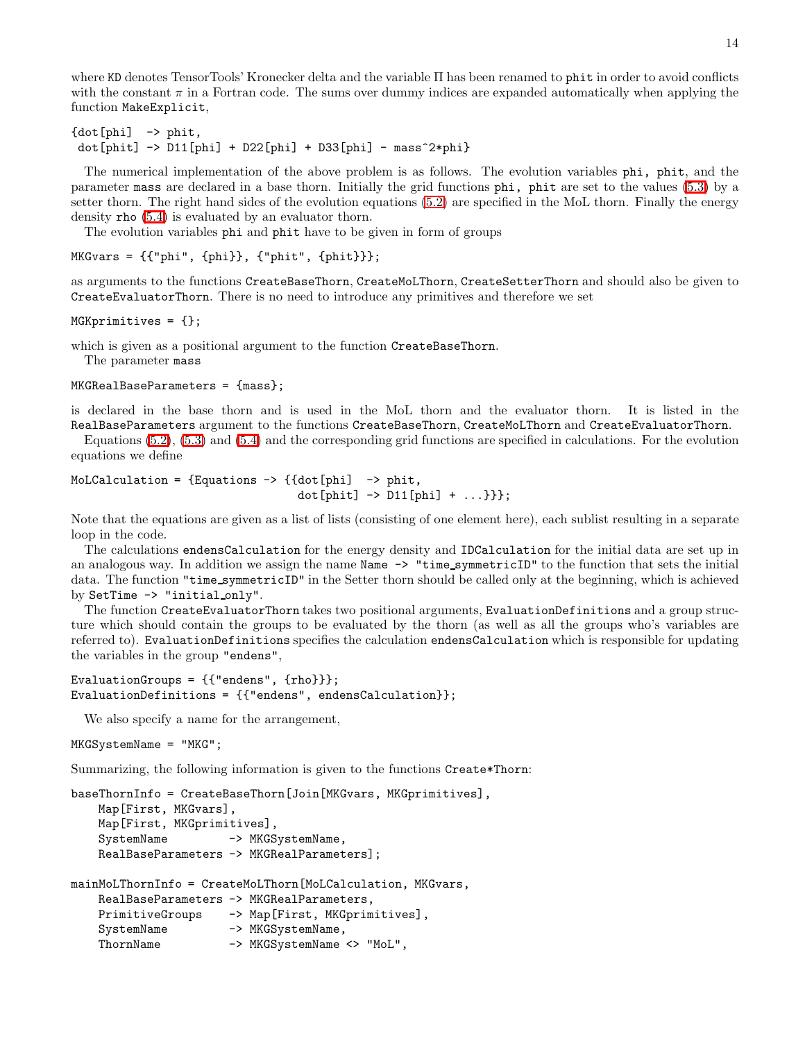where KD denotes TensorTools' Kronecker delta and the variable Π has been renamed to phit in order to avoid conflicts with the constant  $\pi$  in a Fortran code. The sums over dummy indices are expanded automatically when applying the function MakeExplicit,

```
{dot[phi] -> phit,
dot[phit] -> D11[phi] + D22[phi] + D33[phi] - mass^2*phi}
```
The numerical implementation of the above problem is as follows. The evolution variables phi, phit, and the parameter mass are declared in a base thorn. Initially the grid functions phi, phit are set to the values [\(5.3\)](#page-12-4) by a setter thorn. The right hand sides of the evolution equations [\(5.2\)](#page-12-2) are specified in the MoL thorn. Finally the energy density rho [\(5.4\)](#page-12-3) is evaluated by an evaluator thorn.

The evolution variables phi and phit have to be given in form of groups

 $MKGvars = \{{'"phi", {phi}}\}, {'"phi", {phi}}$ 

as arguments to the functions CreateBaseThorn, CreateMoLThorn, CreateSetterThorn and should also be given to CreateEvaluatorThorn. There is no need to introduce any primitives and therefore we set

```
MGKprimitives = \{\};
```
which is given as a positional argument to the function CreateBaseThorn.

```
The parameter mass
```

```
MKGRealBaseParameters = {mass};
```
is declared in the base thorn and is used in the MoL thorn and the evaluator thorn. It is listed in the RealBaseParameters argument to the functions CreateBaseThorn, CreateMoLThorn and CreateEvaluatorThorn.

Equations [\(5.2\)](#page-12-2), [\(5.3\)](#page-12-4) and [\(5.4\)](#page-12-3) and the corresponding grid functions are specified in calculations. For the evolution equations we define

```
MoLCalculation = {Equations \rightarrow {dot[phi] \rightarrow phi, }}dot[phit] -> D11[phi] + ...}}};
```
Note that the equations are given as a list of lists (consisting of one element here), each sublist resulting in a separate loop in the code.

The calculations endensCalculation for the energy density and IDCalculation for the initial data are set up in an analogous way. In addition we assign the name Name  $\rightarrow$  "time symmetricID" to the function that sets the initial data. The function "time symmetricID" in the Setter thorn should be called only at the beginning, which is achieved by SetTime -> "initial only".

The function CreateEvaluatorThorn takes two positional arguments, EvaluationDefinitions and a group structure which should contain the groups to be evaluated by the thorn (as well as all the groups who's variables are referred to). EvaluationDefinitions specifies the calculation endensCalculation which is responsible for updating the variables in the group "endens",

```
EvaluationGroups = {{"endens", {rho}}}EvaluationDefinitions = {{"endens", endensCalculation}};
```
We also specify a name for the arrangement,

MKGSystemName = "MKG";

Summarizing, the following information is given to the functions Create\*Thorn:

```
baseThornInfo = CreateBaseThorn[Join[MKGvars, MKGprimitives],
   Map[First, MKGvars],
   Map[First, MKGprimitives],
   SystemName -> MKGSystemName,
   RealBaseParameters -> MKGRealParameters];
mainMoLThornInfo = CreateMoLThorn[MoLCalculation, MKGvars,
   RealBaseParameters -> MKGRealParameters,
   PrimitiveGroups -> Map[First, MKGprimitives],
   SystemName -> MKGSystemName,
   ThornName -> MKGSystemName <> "MoL",
```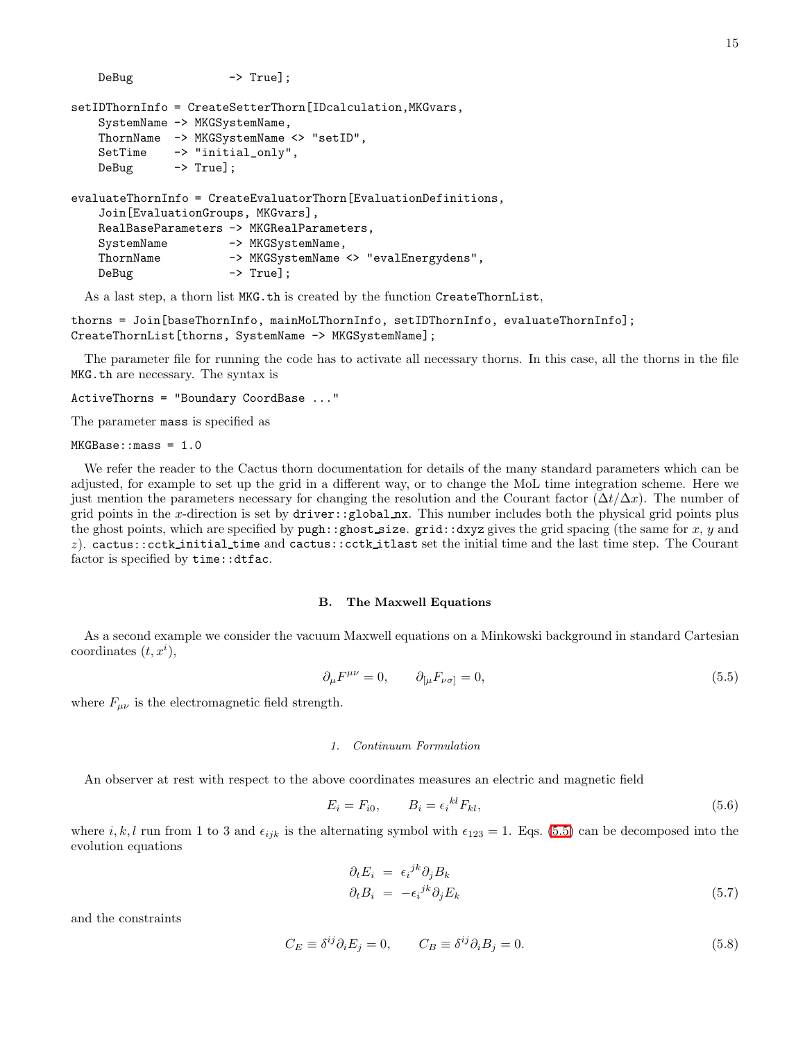15

```
setIDThornInfo = CreateSetterThorn[IDcalculation,MKGvars,
   SystemName -> MKGSystemName,
   ThornName -> MKGSystemName <> "setID",
   SetTime -> "initial_only",
   DeBug -> True];
evaluateThornInfo = CreateEvaluatorThorn[EvaluationDefinitions,
   Join[EvaluationGroups, MKGvars],
   RealBaseParameters -> MKGRealParameters,
   SystemName -> MKGSystemName,
   ThornName -> MKGSystemName <> "evalEnergydens",
   DeBug -> True];
```
As a last step, a thorn list MKG.th is created by the function CreateThornList,

```
thorns = Join[baseThornInfo, mainMoLThornInfo, setIDThornInfo, evaluateThornInfo];
CreateThornList[thorns, SystemName -> MKGSystemName];
```
The parameter file for running the code has to activate all necessary thorns. In this case, all the thorns in the file MKG.th are necessary. The syntax is

ActiveThorns = "Boundary CoordBase ..."

DeBug -> True];

The parameter mass is specified as

 $MKGBase::mass = 1.0$ 

We refer the reader to the Cactus thorn documentation for details of the many standard parameters which can be adjusted, for example to set up the grid in a different way, or to change the MoL time integration scheme. Here we just mention the parameters necessary for changing the resolution and the Courant factor  $(\Delta t/\Delta x)$ . The number of grid points in the x-direction is set by driver::global nx. This number includes both the physical grid points plus the ghost points, which are specified by  $\text{pugh}$ : :ghost size. grid::dxyz gives the grid spacing (the same for x, y and z). cactus::cctk initial time and cactus::cctk itlast set the initial time and the last time step. The Courant factor is specified by time::dtfac.

#### <span id="page-14-0"></span>B. The Maxwell Equations

As a second example we consider the vacuum Maxwell equations on a Minkowski background in standard Cartesian coordinates  $(t, x^i)$ ,

<span id="page-14-1"></span>
$$
\partial_{\mu}F^{\mu\nu} = 0, \qquad \partial_{[\mu}F_{\nu\sigma]} = 0, \tag{5.5}
$$

where  $F_{\mu\nu}$  is the electromagnetic field strength.

#### 1. Continuum Formulation

An observer at rest with respect to the above coordinates measures an electric and magnetic field

$$
E_i = F_{i0}, \qquad B_i = \epsilon_i^{kl} F_{kl}, \tag{5.6}
$$

where i, k, l run from 1 to 3 and  $\epsilon_{ijk}$  is the alternating symbol with  $\epsilon_{123} = 1$ . Eqs. [\(5.5\)](#page-14-1) can be decomposed into the evolution equations

$$
\partial_t E_i = \epsilon_i^{jk} \partial_j B_k \n\partial_t B_i = -\epsilon_i^{jk} \partial_j E_k
$$
\n(5.7)

and the constraints

<span id="page-14-3"></span><span id="page-14-2"></span>
$$
C_E \equiv \delta^{ij}\partial_i E_j = 0, \qquad C_B \equiv \delta^{ij}\partial_i B_j = 0. \tag{5.8}
$$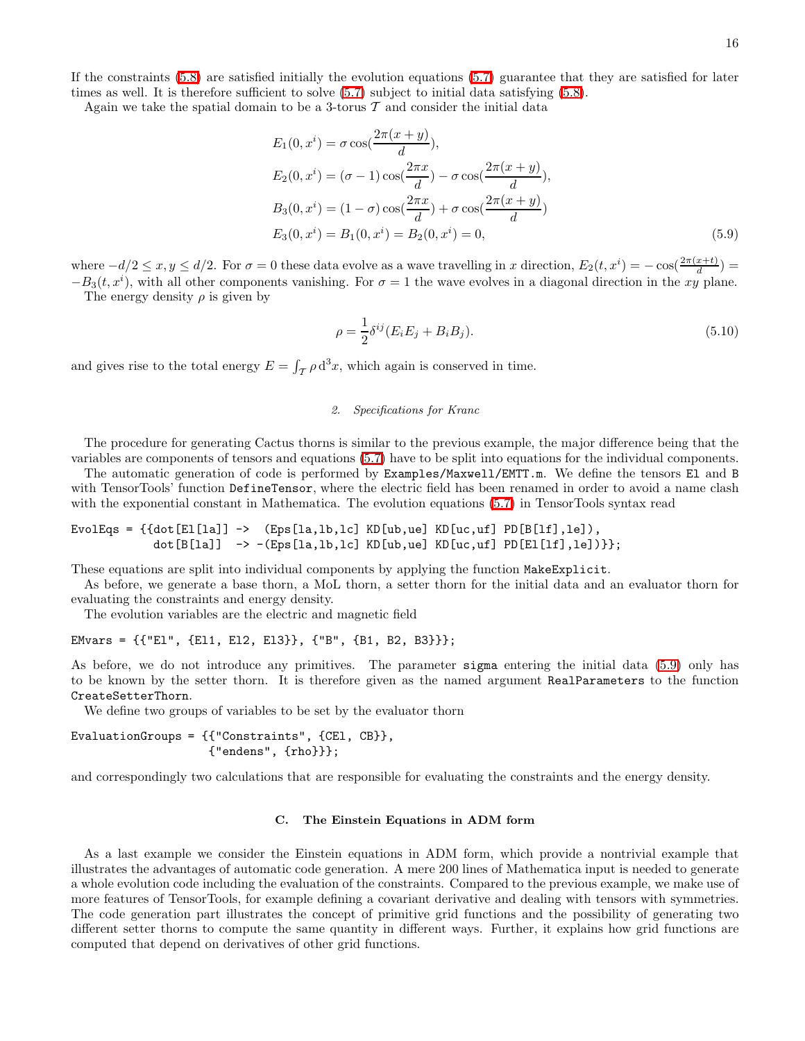If the constraints [\(5.8\)](#page-14-2) are satisfied initially the evolution equations [\(5.7\)](#page-14-3) guarantee that they are satisfied for later times as well. It is therefore sufficient to solve [\(5.7\)](#page-14-3) subject to initial data satisfying [\(5.8\)](#page-14-2).

<span id="page-15-0"></span>Again we take the spatial domain to be a 3-torus  $\mathcal T$  and consider the initial data

$$
E_1(0, x^i) = \sigma \cos(\frac{2\pi(x+y)}{d}),
$$
  
\n
$$
E_2(0, x^i) = (\sigma - 1)\cos(\frac{2\pi x}{d}) - \sigma \cos(\frac{2\pi(x+y)}{d}),
$$
  
\n
$$
B_3(0, x^i) = (1 - \sigma)\cos(\frac{2\pi x}{d}) + \sigma \cos(\frac{2\pi(x+y)}{d})
$$
  
\n
$$
E_3(0, x^i) = B_1(0, x^i) = B_2(0, x^i) = 0,
$$
\n(5.9)

where  $-d/2 \le x, y \le d/2$ . For  $\sigma = 0$  these data evolve as a wave travelling in x direction,  $E_2(t, x^i) = -\cos(\frac{2\pi(x+t)}{d})$  $-B_3(t, x^i)$ , with all other components vanishing. For  $\sigma = 1$  the wave evolves in a diagonal direction in the xy plane.

The energy density  $\rho$  is given by

$$
\rho = \frac{1}{2} \delta^{ij} (E_i E_j + B_i B_j). \tag{5.10}
$$

and gives rise to the total energy  $E = \int_{\mathcal{T}} \rho \, d^3x$ , which again is conserved in time.

### 2. Specifications for Kranc

The procedure for generating Cactus thorns is similar to the previous example, the major difference being that the variables are components of tensors and equations [\(5.7\)](#page-14-3) have to be split into equations for the individual components.

The automatic generation of code is performed by Examples/Maxwell/EMTT.m. We define the tensors El and B with TensorTools' function DefineTensor, where the electric field has been renamed in order to avoid a name clash with the exponential constant in Mathematica. The evolution equations [\(5.7\)](#page-14-3) in TensorTools syntax read

$$
EvolEqs = \{ \{ dot[E1[la]] -> (Eps[la,lb,lc] KD[ub,ue] KD[uc,uf] PD[B[lf],le]),\n \quad dot[B[la]] -> -(Eps[la,lb,lc] KD[ub,ue] KD[uc,uf] PD[E1[lf],le]) \};
$$

These equations are split into individual components by applying the function MakeExplicit.

As before, we generate a base thorn, a MoL thorn, a setter thorn for the initial data and an evaluator thorn for evaluating the constraints and energy density.

The evolution variables are the electric and magnetic field

EMvars = {{"El", {El1, El2, El3}}, {"B", {B1, B2, B3}}};

As before, we do not introduce any primitives. The parameter sigma entering the initial data [\(5.9\)](#page-15-0) only has to be known by the setter thorn. It is therefore given as the named argument RealParameters to the function CreateSetterThorn.

We define two groups of variables to be set by the evaluator thorn

EvaluationGroups = {{"Constraints", {CEl, CB}}, {"endens", {rho}}};

and correspondingly two calculations that are responsible for evaluating the constraints and the energy density.

#### C. The Einstein Equations in ADM form

As a last example we consider the Einstein equations in ADM form, which provide a nontrivial example that illustrates the advantages of automatic code generation. A mere 200 lines of Mathematica input is needed to generate a whole evolution code including the evaluation of the constraints. Compared to the previous example, we make use of more features of TensorTools, for example defining a covariant derivative and dealing with tensors with symmetries. The code generation part illustrates the concept of primitive grid functions and the possibility of generating two different setter thorns to compute the same quantity in different ways. Further, it explains how grid functions are computed that depend on derivatives of other grid functions.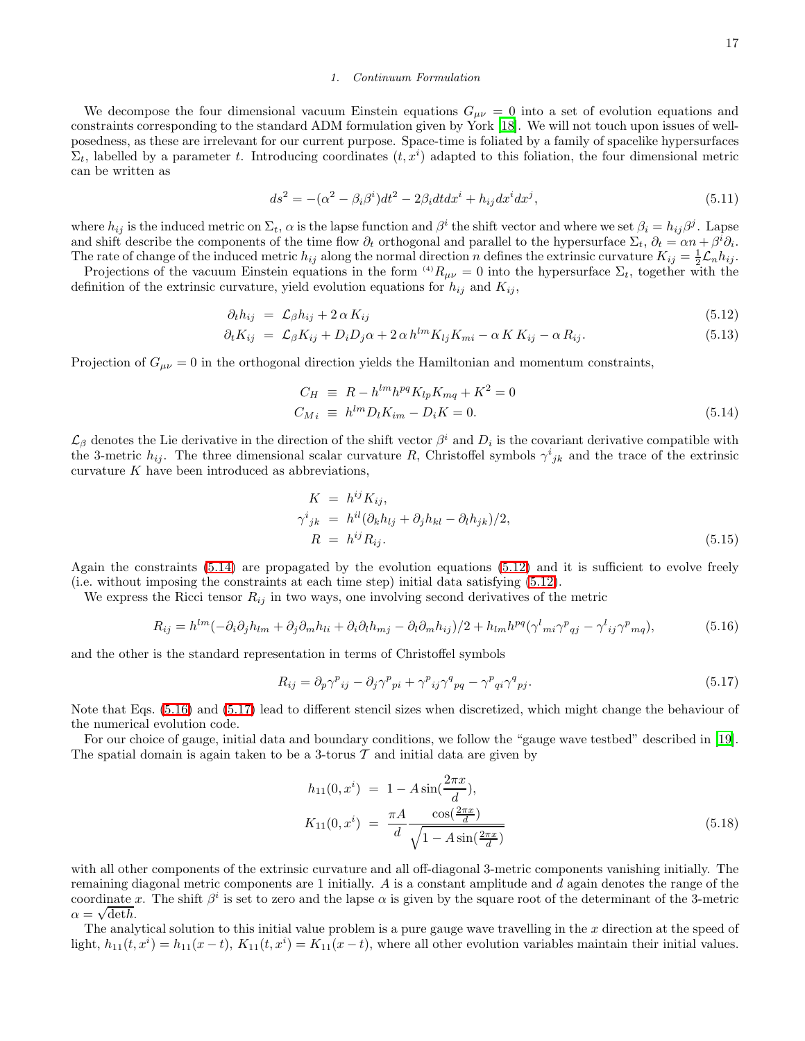#### 1. Continuum Formulation

We decompose the four dimensional vacuum Einstein equations  $G_{\mu\nu} = 0$  into a set of evolution equations and constraints corresponding to the standard ADM formulation given by York [\[18](#page-23-17)]. We will not touch upon issues of wellposedness, as these are irrelevant for our current purpose. Space-time is foliated by a family of spacelike hypersurfaces  $\Sigma_t$ , labelled by a parameter t. Introducing coordinates  $(t, x^i)$  adapted to this foliation, the four dimensional metric can be written as

$$
ds2 = -(\alpha2 - \betai\betai)dt2 - 2\betaidt dxi + hij dxi dxj,
$$
\n(5.11)

where  $h_{ij}$  is the induced metric on  $\Sigma_t$ ,  $\alpha$  is the lapse function and  $\beta^i$  the shift vector and where we set  $\beta_i = h_{ij}\beta^j$ . Lapse and shift describe the components of the time flow  $\partial_t$  orthogonal and parallel to the hypersurface  $\Sigma_t$ ,  $\partial_t = \alpha n + \beta^i \partial_i$ . The rate of change of the induced metric  $h_{ij}$  along the normal direction n defines the extrinsic curvature  $K_{ij} = \frac{1}{2} \mathcal{L}_n h_{ij}$ .

<span id="page-16-1"></span>Projections of the vacuum Einstein equations in the form <sup>(4)</sup> $R_{\mu\nu} = 0$  into the hypersurface  $\Sigma_t$ , together with the definition of the extrinsic curvature, yield evolution equations for  $h_{ij}$  and  $K_{ij}$ ,

$$
\partial_t h_{ij} = \mathcal{L}_{\beta} h_{ij} + 2 \alpha K_{ij} \tag{5.12}
$$

<span id="page-16-0"></span>
$$
\partial_t K_{ij} = \mathcal{L}_{\beta} K_{ij} + D_i D_j \alpha + 2 \alpha h^{lm} K_{lj} K_{mi} - \alpha K K_{ij} - \alpha R_{ij}.
$$
\n(5.13)

Projection of  $G_{\mu\nu} = 0$  in the orthogonal direction yields the Hamiltonian and momentum constraints,

$$
C_H \equiv R - h^{lm} h^{pq} K_{lp} K_{mq} + K^2 = 0
$$
  
\n
$$
C_{M_i} \equiv h^{lm} D_l K_{im} - D_i K = 0.
$$
\n(5.14)

 $\mathcal{L}_{\beta}$  denotes the Lie derivative in the direction of the shift vector  $\beta^{i}$  and  $D_{i}$  is the covariant derivative compatible with the 3-metric  $h_{ij}$ . The three dimensional scalar curvature R, Christoffel symbols  $\gamma^{i}_{jk}$  and the trace of the extrinsic curvature  $K$  have been introduced as abbreviations,

<span id="page-16-4"></span>
$$
K = h^{ij} K_{ij},
$$
  
\n
$$
\gamma^{i}_{jk} = h^{il} (\partial_k h_{lj} + \partial_j h_{kl} - \partial_l h_{jk})/2,
$$
  
\n
$$
R = h^{ij} R_{ij}.
$$
\n(5.15)

Again the constraints [\(5.14\)](#page-16-0) are propagated by the evolution equations [\(5.12\)](#page-16-1) and it is sufficient to evolve freely (i.e. without imposing the constraints at each time step) initial data satisfying [\(5.12\)](#page-16-1).

<span id="page-16-2"></span>We express the Ricci tensor  $R_{ij}$  in two ways, one involving second derivatives of the metric

<span id="page-16-3"></span>
$$
R_{ij} = h^{lm}(-\partial_i \partial_j h_{lm} + \partial_j \partial_m h_{li} + \partial_i \partial_l h_{mj} - \partial_l \partial_m h_{ij})/2 + h_{lm} h^{pq} (\gamma^l_{mi} \gamma^p_{qj} - \gamma^l_{ij} \gamma^p_{mq}),
$$
(5.16)

and the other is the standard representation in terms of Christoffel symbols

$$
R_{ij} = \partial_p \gamma^p{}_{ij} - \partial_j \gamma^p{}_{pi} + \gamma^p{}_{ij} \gamma^q{}_{pq} - \gamma^p{}_{qi} \gamma^q{}_{pj}.\tag{5.17}
$$

Note that Eqs. [\(5.16\)](#page-16-2) and [\(5.17\)](#page-16-3) lead to different stencil sizes when discretized, which might change the behaviour of the numerical evolution code.

For our choice of gauge, initial data and boundary conditions, we follow the "gauge wave testbed" described in [\[19\]](#page-23-18). The spatial domain is again taken to be a 3-torus  $\mathcal T$  and initial data are given by

<span id="page-16-5"></span>
$$
h_{11}(0, x^{i}) = 1 - A \sin(\frac{2\pi x}{d}),
$$
  
\n
$$
K_{11}(0, x^{i}) = \frac{\pi A}{d} \frac{\cos(\frac{2\pi x}{d})}{\sqrt{1 - A \sin(\frac{2\pi x}{d})}}
$$
\n(5.18)

with all other components of the extrinsic curvature and all off-diagonal 3-metric components vanishing initially. The remaining diagonal metric components are 1 initially. A is a constant amplitude and d again denotes the range of the coordinate x. The shift  $\beta^i$  is set to zero and the lapse  $\alpha$  is given by the square root of the determinant of the 3-metric  $\alpha = \sqrt{\det h}$ .

The analytical solution to this initial value problem is a pure gauge wave travelling in the  $x$  direction at the speed of light,  $h_{11}(t, x^i) = h_{11}(x - t)$ ,  $K_{11}(t, x^i) = K_{11}(x - t)$ , where all other evolution variables maintain their initial values.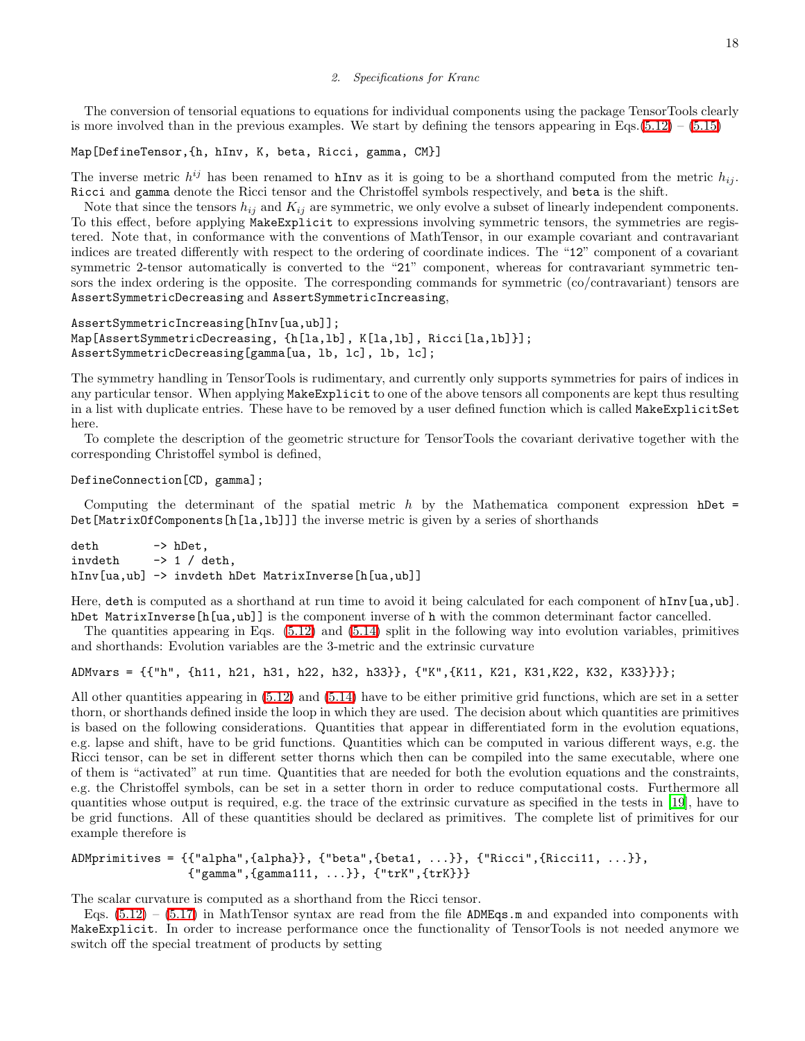#### 2. Specifications for Kranc

The conversion of tensorial equations to equations for individual components using the package TensorTools clearly is more involved than in the previous examples. We start by defining the tensors appearing in Eqs. $(5.12) - (5.15)$  $(5.12) - (5.15)$  $(5.12) - (5.15)$ 

## Map[DefineTensor,{h, hInv, K, beta, Ricci, gamma, CM}]

The inverse metric  $h^{ij}$  has been renamed to hInv as it is going to be a shorthand computed from the metric  $h_{ij}$ . Ricci and gamma denote the Ricci tensor and the Christoffel symbols respectively, and beta is the shift.

Note that since the tensors  $h_{ij}$  and  $K_{ij}$  are symmetric, we only evolve a subset of linearly independent components. To this effect, before applying MakeExplicit to expressions involving symmetric tensors, the symmetries are registered. Note that, in conformance with the conventions of MathTensor, in our example covariant and contravariant indices are treated differently with respect to the ordering of coordinate indices. The "12" component of a covariant symmetric 2-tensor automatically is converted to the "21" component, whereas for contravariant symmetric tensors the index ordering is the opposite. The corresponding commands for symmetric (co/contravariant) tensors are AssertSymmetricDecreasing and AssertSymmetricIncreasing,

```
AssertSymmetricIncreasing[hInv[ua,ub]];
Map[AssertSymmetricDecreasing, {h[la,lb], K[la,lb], Ricci[la,lb]}];
AssertSymmetricDecreasing[gamma[ua, lb, lc], lb, lc];
```
The symmetry handling in TensorTools is rudimentary, and currently only supports symmetries for pairs of indices in any particular tensor. When applying MakeExplicit to one of the above tensors all components are kept thus resulting in a list with duplicate entries. These have to be removed by a user defined function which is called MakeExplicitSet here.

To complete the description of the geometric structure for TensorTools the covariant derivative together with the corresponding Christoffel symbol is defined,

### DefineConnection[CD, gamma];

Computing the determinant of the spatial metric  $h$  by the Mathematica component expression hDet = Det[MatrixOfComponents[h[la,lb]]] the inverse metric is given by a series of shorthands

deth -> hDet, invdeth  $\rightarrow$  1 / deth, hInv[ua,ub] -> invdeth hDet MatrixInverse[h[ua,ub]]

Here, deth is computed as a shorthand at run time to avoid it being calculated for each component of hInv[ua,ub]. hDet MatrixInverse[h[ua,ub]] is the component inverse of h with the common determinant factor cancelled.

The quantities appearing in Eqs. [\(5.12\)](#page-16-1) and [\(5.14\)](#page-16-0) split in the following way into evolution variables, primitives and shorthands: Evolution variables are the 3-metric and the extrinsic curvature

ADMvars = {{"h", {h11, h21, h31, h22, h32, h33}}, {"K",{K11, K21, K31,K22, K32, K33}}}};

All other quantities appearing in [\(5.12\)](#page-16-1) and [\(5.14\)](#page-16-0) have to be either primitive grid functions, which are set in a setter thorn, or shorthands defined inside the loop in which they are used. The decision about which quantities are primitives is based on the following considerations. Quantities that appear in differentiated form in the evolution equations, e.g. lapse and shift, have to be grid functions. Quantities which can be computed in various different ways, e.g. the Ricci tensor, can be set in different setter thorns which then can be compiled into the same executable, where one of them is "activated" at run time. Quantities that are needed for both the evolution equations and the constraints, e.g. the Christoffel symbols, can be set in a setter thorn in order to reduce computational costs. Furthermore all quantities whose output is required, e.g. the trace of the extrinsic curvature as specified in the tests in [\[19\]](#page-23-18), have to be grid functions. All of these quantities should be declared as primitives. The complete list of primitives for our example therefore is

```
ADMprimitives = {{"alpha",{alpha}}, {"beta",{beta1, ...}}, {"Ricci",{Ricci11, ...}},
                 {"gamma",{gamma111, ...}}, {"trK",{trK}}}
```
The scalar curvature is computed as a shorthand from the Ricci tensor.

Eqs.  $(5.12) - (5.17)$  $(5.12) - (5.17)$  in MathTensor syntax are read from the file ADMEqs.m and expanded into components with MakeExplicit. In order to increase performance once the functionality of TensorTools is not needed anymore we switch off the special treatment of products by setting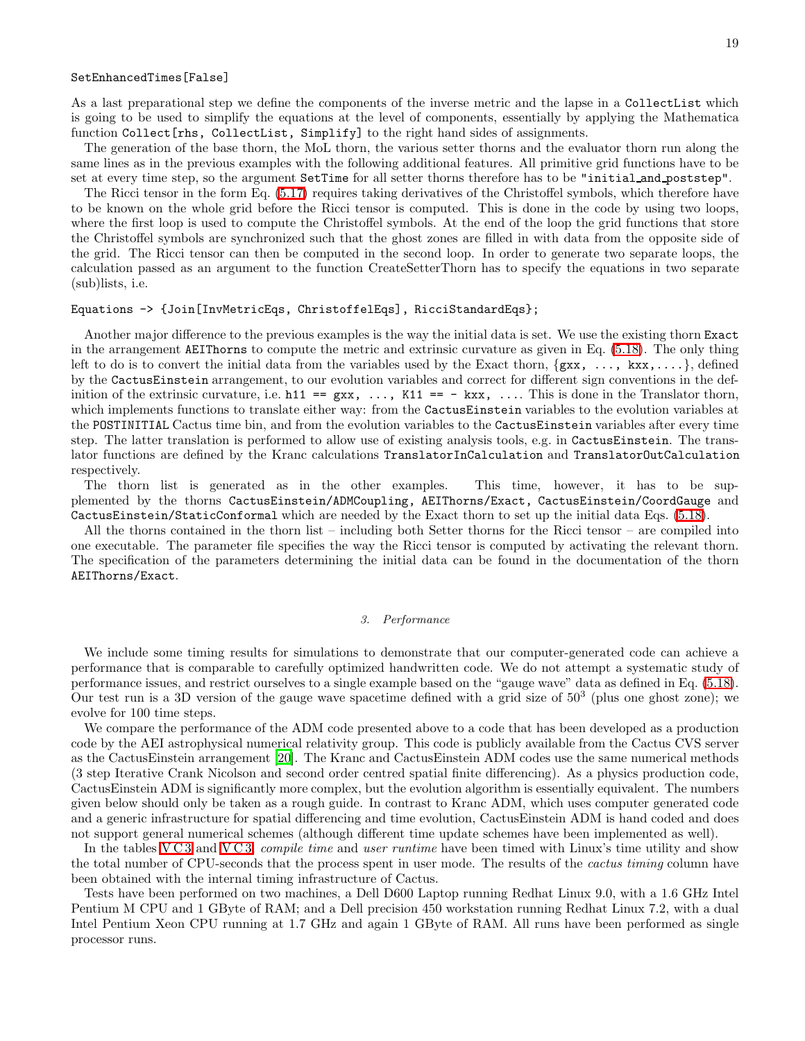#### SetEnhancedTimes[False]

As a last preparational step we define the components of the inverse metric and the lapse in a CollectList which is going to be used to simplify the equations at the level of components, essentially by applying the Mathematica function Collect[rhs, CollectList, Simplify] to the right hand sides of assignments.

The generation of the base thorn, the MoL thorn, the various setter thorns and the evaluator thorn run along the same lines as in the previous examples with the following additional features. All primitive grid functions have to be set at every time step, so the argument SetTime for all setter thorns therefore has to be "initial and poststep".

The Ricci tensor in the form Eq. [\(5.17\)](#page-16-3) requires taking derivatives of the Christoffel symbols, which therefore have to be known on the whole grid before the Ricci tensor is computed. This is done in the code by using two loops, where the first loop is used to compute the Christoffel symbols. At the end of the loop the grid functions that store the Christoffel symbols are synchronized such that the ghost zones are filled in with data from the opposite side of the grid. The Ricci tensor can then be computed in the second loop. In order to generate two separate loops, the calculation passed as an argument to the function CreateSetterThorn has to specify the equations in two separate (sub)lists, i.e.

### Equations -> {Join[InvMetricEqs, ChristoffelEqs], RicciStandardEqs};

Another major difference to the previous examples is the way the initial data is set. We use the existing thorn Exact in the arrangement AEIThorns to compute the metric and extrinsic curvature as given in Eq. [\(5.18\)](#page-16-5). The only thing left to do is to convert the initial data from the variables used by the Exact thorn,  $\{gxx, \ldots, kxx, \ldots\}$ , defined by the CactusEinstein arrangement, to our evolution variables and correct for different sign conventions in the definition of the extrinsic curvature, i.e.  $h11 == gxx$ , ...,  $K11 == - kxx$ , .... This is done in the Translator thorn, which implements functions to translate either way: from the CactusEinstein variables to the evolution variables at the POSTINITIAL Cactus time bin, and from the evolution variables to the CactusEinstein variables after every time step. The latter translation is performed to allow use of existing analysis tools, e.g. in CactusEinstein. The translator functions are defined by the Kranc calculations TranslatorInCalculation and TranslatorOutCalculation respectively.

The thorn list is generated as in the other examples. This time, however, it has to be supplemented by the thorns CactusEinstein/ADMCoupling, AEIThorns/Exact, CactusEinstein/CoordGauge and CactusEinstein/StaticConformal which are needed by the Exact thorn to set up the initial data Eqs. [\(5.18\)](#page-16-5).

All the thorns contained in the thorn list – including both Setter thorns for the Ricci tensor – are compiled into one executable. The parameter file specifies the way the Ricci tensor is computed by activating the relevant thorn. The specification of the parameters determining the initial data can be found in the documentation of the thorn AEIThorns/Exact.

#### <span id="page-18-0"></span>3. Performance

We include some timing results for simulations to demonstrate that our computer-generated code can achieve a performance that is comparable to carefully optimized handwritten code. We do not attempt a systematic study of performance issues, and restrict ourselves to a single example based on the "gauge wave" data as defined in Eq. [\(5.18\)](#page-16-5). Our test run is a 3D version of the gauge wave spacetime defined with a grid size of  $50<sup>3</sup>$  (plus one ghost zone); we evolve for 100 time steps.

We compare the performance of the ADM code presented above to a code that has been developed as a production code by the AEI astrophysical numerical relativity group. This code is publicly available from the Cactus CVS server as the CactusEinstein arrangement [\[20](#page-23-19)]. The Kranc and CactusEinstein ADM codes use the same numerical methods (3 step Iterative Crank Nicolson and second order centred spatial finite differencing). As a physics production code, CactusEinstein ADM is significantly more complex, but the evolution algorithm is essentially equivalent. The numbers given below should only be taken as a rough guide. In contrast to Kranc ADM, which uses computer generated code and a generic infrastructure for spatial differencing and time evolution, CactusEinstein ADM is hand coded and does not support general numerical schemes (although different time update schemes have been implemented as well).

In the tables  $V\_{C3}$  and  $V\_{C3}$ , compile time and user runtime have been timed with Linux's time utility and show the total number of CPU-seconds that the process spent in user mode. The results of the *cactus timing* column have been obtained with the internal timing infrastructure of Cactus.

Tests have been performed on two machines, a Dell D600 Laptop running Redhat Linux 9.0, with a 1.6 GHz Intel Pentium M CPU and 1 GByte of RAM; and a Dell precision 450 workstation running Redhat Linux 7.2, with a dual Intel Pentium Xeon CPU running at 1.7 GHz and again 1 GByte of RAM. All runs have been performed as single processor runs.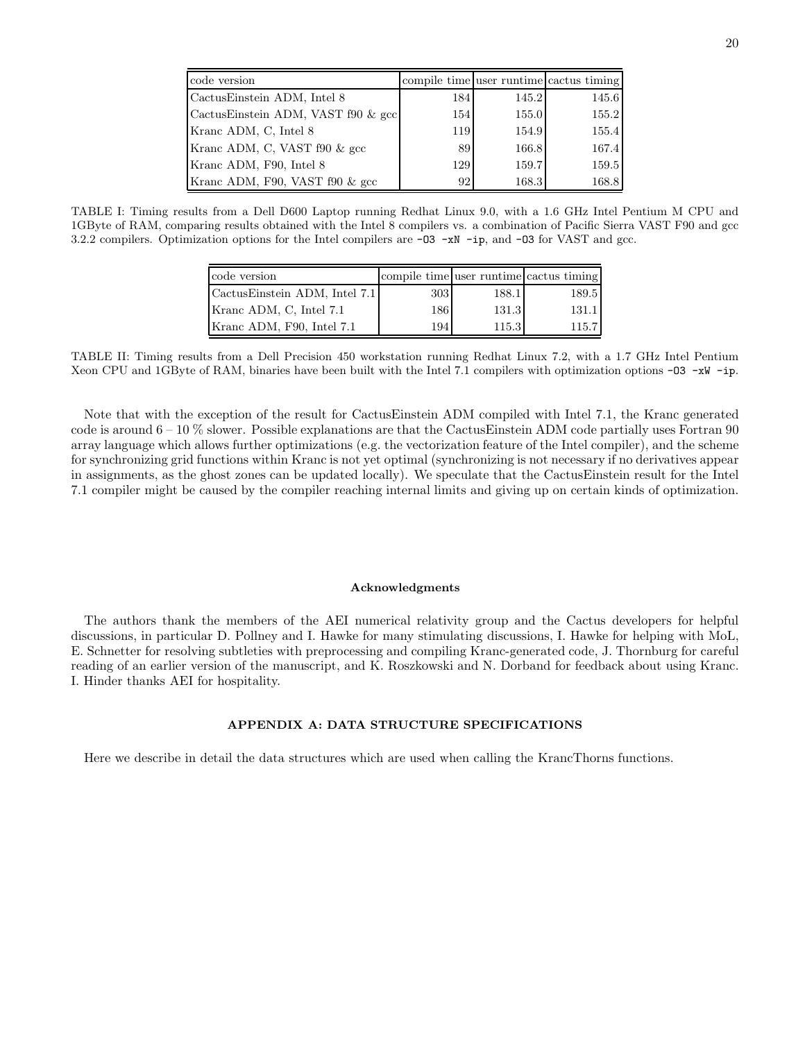| code version                       |     |       | compile time user runtime cactus timing |
|------------------------------------|-----|-------|-----------------------------------------|
| CactusEinstein ADM, Intel 8        | 184 | 145.2 | 145.6                                   |
| CactusEinstein ADM, VAST f90 & gcc | 154 | 155.0 | 155.2                                   |
| Kranc ADM, C, Intel 8              | 119 | 154.9 | 155.4                                   |
| Kranc ADM, C, VAST f90 & gcc       | 89  | 166.8 | 167.4                                   |
| Kranc ADM, F90, Intel 8            | 129 | 159.7 | 159.5                                   |
| Kranc ADM, F90, VAST f90 & gcc     | 92  | 168.3 | 168.8                                   |

<span id="page-19-0"></span>TABLE I: Timing results from a Dell D600 Laptop running Redhat Linux 9.0, with a 1.6 GHz Intel Pentium M CPU and 1GByte of RAM, comparing results obtained with the Intel 8 compilers vs. a combination of Pacific Sierra VAST F90 and gcc 3.2.2 compilers. Optimization options for the Intel compilers are  $-03 -xN -ip$ , and  $-03$  for VAST and gcc.

| code version                  |     |       | compile time user runtime cactus timing |
|-------------------------------|-----|-------|-----------------------------------------|
| CactusEinstein ADM, Intel 7.1 | 303 | 188.1 | 189.5                                   |
| Kranc ADM, C, Intel 7.1       | 186 | 131.3 | 131.1                                   |
| Kranc ADM, F90, Intel 7.1     | 194 | 115.3 | 115.7                                   |

TABLE II: Timing results from a Dell Precision 450 workstation running Redhat Linux 7.2, with a 1.7 GHz Intel Pentium Xeon CPU and 1GByte of RAM, binaries have been built with the Intel 7.1 compilers with optimization options -03 -xW -ip.

Note that with the exception of the result for CactusEinstein ADM compiled with Intel 7.1, the Kranc generated code is around  $6-10\%$  slower. Possible explanations are that the CactusEinstein ADM code partially uses Fortran 90 array language which allows further optimizations (e.g. the vectorization feature of the Intel compiler), and the scheme for synchronizing grid functions within Kranc is not yet optimal (synchronizing is not necessary if no derivatives appear in assignments, as the ghost zones can be updated locally). We speculate that the CactusEinstein result for the Intel 7.1 compiler might be caused by the compiler reaching internal limits and giving up on certain kinds of optimization.

#### Acknowledgments

The authors thank the members of the AEI numerical relativity group and the Cactus developers for helpful discussions, in particular D. Pollney and I. Hawke for many stimulating discussions, I. Hawke for helping with MoL, E. Schnetter for resolving subtleties with preprocessing and compiling Kranc-generated code, J. Thornburg for careful reading of an earlier version of the manuscript, and K. Roszkowski and N. Dorband for feedback about using Kranc. I. Hinder thanks AEI for hospitality.

### APPENDIX A: DATA STRUCTURE SPECIFICATIONS

Here we describe in detail the data structures which are used when calling the KrancThorns functions.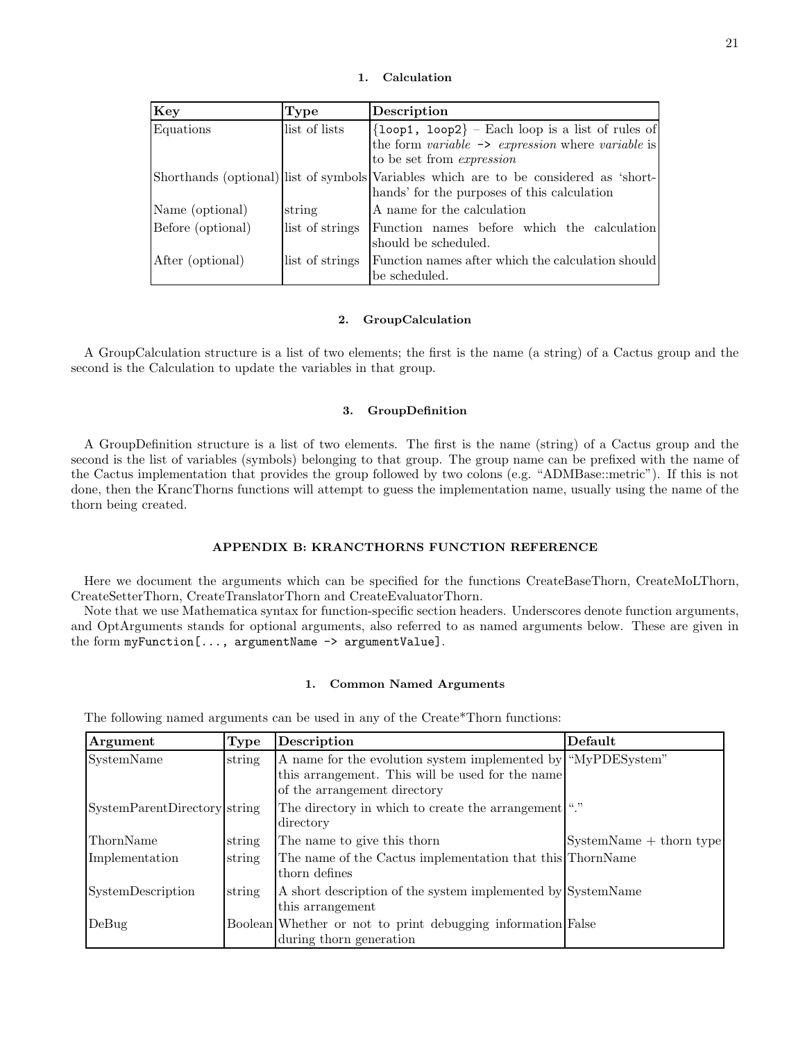## <span id="page-20-1"></span>1. Calculation

| Key               | Type            | Description                                                                                                                                                                   |
|-------------------|-----------------|-------------------------------------------------------------------------------------------------------------------------------------------------------------------------------|
| Equations         | list of lists   | $\{loop1, loop2\}$ – Each loop is a list of rules of<br>the form <i>variable</i> $\rightarrow$ <i>expression</i> where <i>variable</i> is<br>to be set from <i>expression</i> |
|                   |                 | Shorthands (optional) list of symbols Variables which are to be considered as 'short-<br>hands' for the purposes of this calculation                                          |
| Name (optional)   | string          | A name for the calculation                                                                                                                                                    |
| Before (optional) | list of strings | Function names before which the calculation<br>should be scheduled.                                                                                                           |
| After (optional)  | list of strings | Function names after which the calculation should<br>be scheduled.                                                                                                            |

## 2. GroupCalculation

A GroupCalculation structure is a list of two elements; the first is the name (a string) of a Cactus group and the second is the Calculation to update the variables in that group.

## 3. GroupDefinition

A GroupDefinition structure is a list of two elements. The first is the name (string) of a Cactus group and the second is the list of variables (symbols) belonging to that group. The group name can be prefixed with the name of the Cactus implementation that provides the group followed by two colons (e.g. "ADMBase::metric"). If this is not done, then the KrancThorns functions will attempt to guess the implementation name, usually using the name of the thorn being created.

## APPENDIX B: KRANCTHORNS FUNCTION REFERENCE

<span id="page-20-0"></span>Here we document the arguments which can be specified for the functions CreateBaseThorn, CreateMoLThorn, CreateSetterThorn, CreateTranslatorThorn and CreateEvaluatorThorn.

Note that we use Mathematica syntax for function-specific section headers. Underscores denote function arguments, and OptArguments stands for optional arguments, also referred to as named arguments below. These are given in the form myFunction[..., argumentName -> argumentValue].

## 1. Common Named Arguments

| Argument                     | Type   | Description                                                                     | Default                   |
|------------------------------|--------|---------------------------------------------------------------------------------|---------------------------|
| SystemName                   | string | A name for the evolution system implemented by "MyPDESystem"                    |                           |
|                              |        | this arrangement. This will be used for the name                                |                           |
|                              |        | of the arrangement directory                                                    |                           |
| SystemParentDirectory string |        | The directory in which to create the arrangement "."                            |                           |
|                              |        | directory                                                                       |                           |
| ThornName                    | string | The name to give this thorn                                                     | $SystemName + thorn type$ |
| Implementation               | string | The name of the Cactus implementation that this ThornName<br>thorn defines      |                           |
| SystemDescription            | string | A short description of the system implemented by SystemName<br>this arrangement |                           |
| DeBug                        |        | Boolean Whether or not to print debugging information False                     |                           |
|                              |        | during thorn generation                                                         |                           |

The following named arguments can be used in any of the Create\*Thorn functions: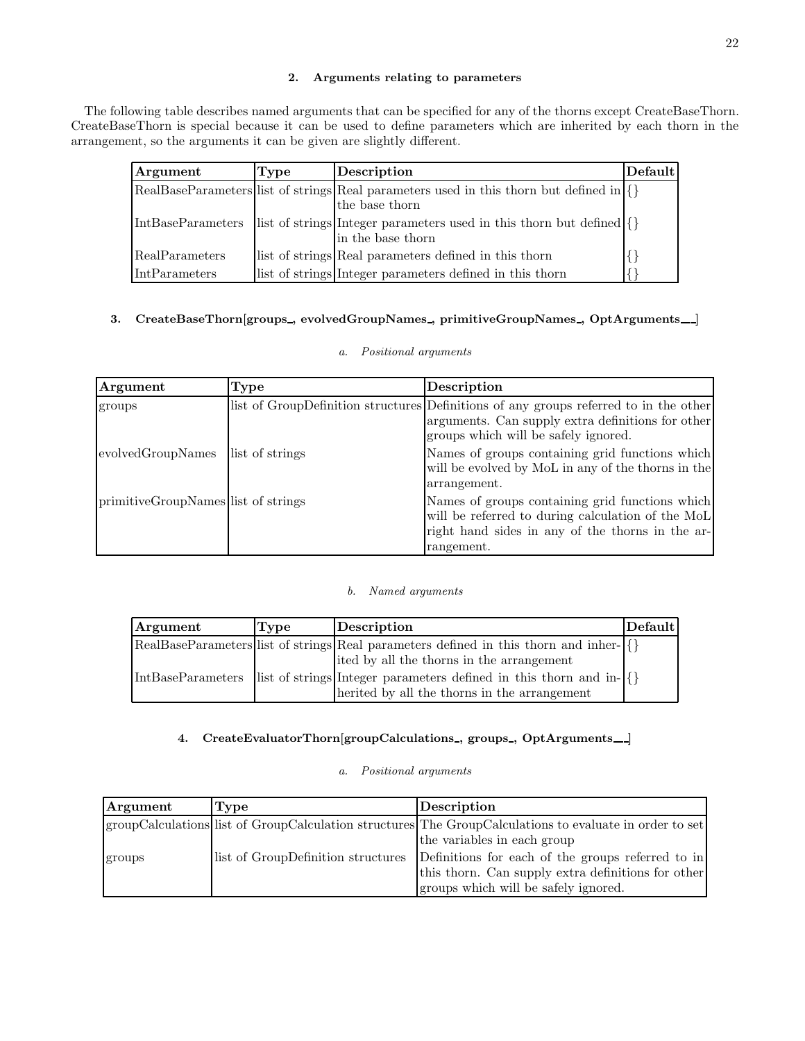## 2. Arguments relating to parameters

The following table describes named arguments that can be specified for any of the thorns except CreateBaseThorn. CreateBaseThorn is special because it can be used to define parameters which are inherited by each thorn in the arrangement, so the arguments it can be given are slightly different.

| Argument          | <b>Type</b> | Description                                                                                                   | <b>Default</b> |
|-------------------|-------------|---------------------------------------------------------------------------------------------------------------|----------------|
|                   |             | RealBaseParameters list of strings Real parameters used in this thorn but defined in $\{\}$<br>the base thorn |                |
| IntBaseParameters |             | list of strings Integer parameters used in this thorn but defined $\{\}$<br>in the base thorn                 |                |
| RealParameters    |             | list of strings Real parameters defined in this thorn                                                         |                |
| IntParameters     |             | list of strings Integer parameters defined in this thorn                                                      |                |

## 3. CreateBaseThorn[groups\_, evolvedGroupNames\_, primitiveGroupNames\_, OptArguments\_\_]

## a. Positional arguments

| Argument                            | Type            | Description                                                                                                                                                                        |
|-------------------------------------|-----------------|------------------------------------------------------------------------------------------------------------------------------------------------------------------------------------|
| groups                              |                 | list of GroupDefinition structures Definitions of any groups referred to in the other<br>arguments. Can supply extra definitions for other<br>groups which will be safely ignored. |
| evolvedGroupNames                   | list of strings | Names of groups containing grid functions which<br>will be evolved by MoL in any of the thorns in the<br>arrangement.                                                              |
| primitiveGroupNames list of strings |                 | Names of groups containing grid functions which<br>will be referred to during calculation of the MoL<br>right hand sides in any of the thorns in the ar-<br>rangement.             |

## b. Named arguments

| Argument | Type | Description                                                                                                                       | Default |
|----------|------|-----------------------------------------------------------------------------------------------------------------------------------|---------|
|          |      | $[RealBaseParameters]$ list of strings Real parameters defined in this thorn and inher- $\{\}$                                    |         |
|          |      | ited by all the thorns in the arrangement                                                                                         |         |
|          |      | $\left  \text{IntBaseParameters} \right $ list of strings Integer parameters defined in this thorn and in- $\left  \right\rangle$ |         |
|          |      | herited by all the thorns in the arrangement                                                                                      |         |

## 4. CreateEvaluatorThorn[groupCalculations\_, groups\_, OptArguments\_\_]

## a. Positional arguments

| Argument | Type                               | Description                                                                                                                                     |
|----------|------------------------------------|-------------------------------------------------------------------------------------------------------------------------------------------------|
|          |                                    | groupCalculations list of GroupCalculation structures The GroupCalculations to evaluate in order to set<br>the variables in each group          |
| groups   | list of GroupDefinition structures | Definitions for each of the groups referred to in<br>this thorn. Can supply extra definitions for other<br>groups which will be safely ignored. |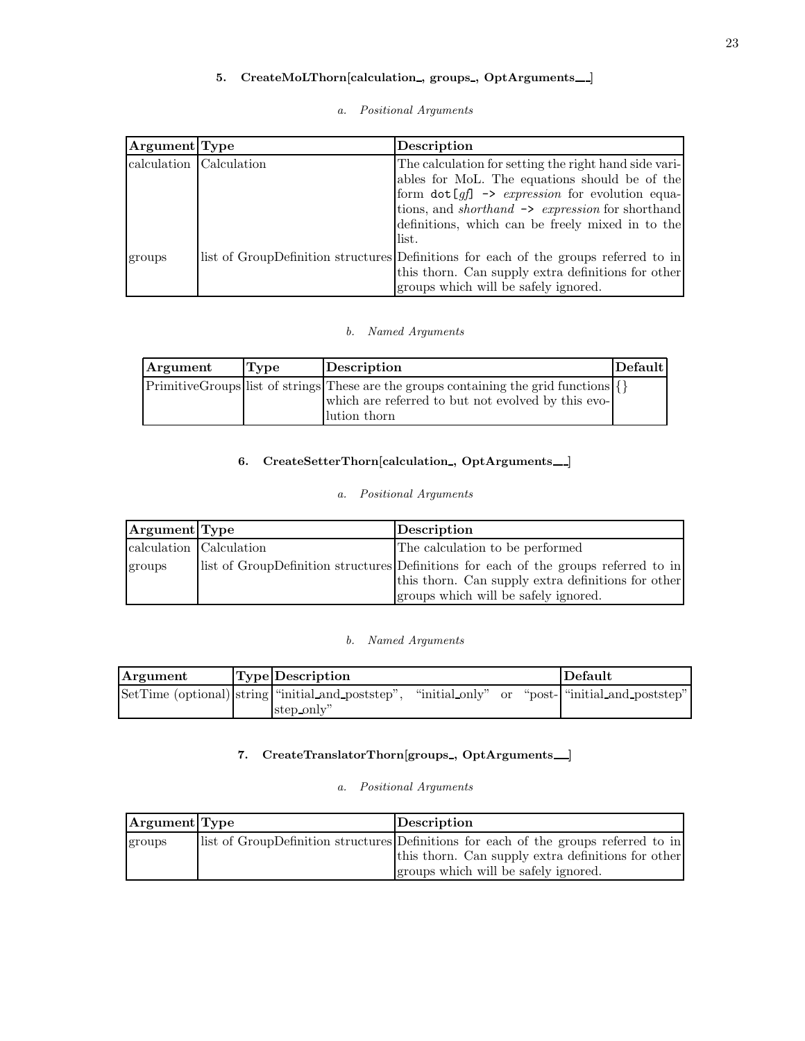## 5. CreateMoLThorn[calculation\_, groups\_, OptArguments\_\_]

| Argument Type           | Description                                                                          |
|-------------------------|--------------------------------------------------------------------------------------|
| calculation Calculation | The calculation for setting the right hand side vari-                                |
|                         | ables for MoL. The equations should be of the                                        |
|                         | form $dot[gf] \rightarrow expression$ for evolution equa-                            |
|                         | tions, and <i>shorthand</i> -> expression for shorthand                              |
|                         | definitions, which can be freely mixed in to the                                     |
|                         | list.                                                                                |
| groups                  | list of GroupDefinition structures Definitions for each of the groups referred to in |
|                         | this thorn. Can supply extra definitions for other                                   |
|                         | groups which will be safely ignored.                                                 |

## a. Positional Arguments

## b. Named Arguments

| Argument | Type | Description                                                                                                                                                        | Default |
|----------|------|--------------------------------------------------------------------------------------------------------------------------------------------------------------------|---------|
|          |      | $\Pr$ mitiveGroups list of strings These are the groups containing the grid functions $\{\}$<br>which are referred to but not evolved by this evo-<br>lution thorn |         |

## 6. CreateSetterThorn[calculation\_, OptArguments\_\_]

## a. Positional Arguments

| Argument Type           | Description                                                                          |
|-------------------------|--------------------------------------------------------------------------------------|
| calculation Calculation | The calculation to be performed                                                      |
| groups                  | list of GroupDefinition structures Definitions for each of the groups referred to in |
|                         | this thorn. Can supply extra definitions for other                                   |
|                         | groups which will be safely ignored.                                                 |

## b. Named Arguments

| Argument | <b>Type Description</b>                          |  | $\sf{Default}$                                    |
|----------|--------------------------------------------------|--|---------------------------------------------------|
|          | SetTime (optional) string "initial and poststep" |  | "initial_only" or "post-   "initial_and_poststep" |
|          | step only"                                       |  |                                                   |

# 7.  $CreateTransferThorn[groups., OptArguments__]$

## a. Positional Arguments

| Argument Type | Description                                                                          |
|---------------|--------------------------------------------------------------------------------------|
| groups        | list of GroupDefinition structures Definitions for each of the groups referred to in |
|               | this thorn. Can supply extra definitions for other                                   |
|               | groups which will be safely ignored.                                                 |